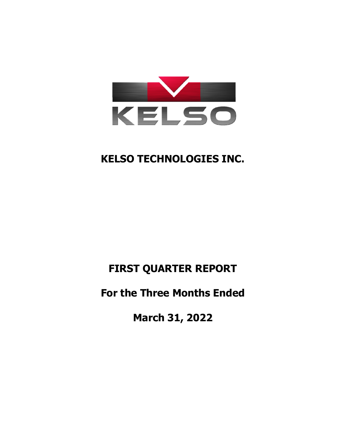

# **FIRST QUARTER REPORT**

# **For the Three Months Ended**

**March 31, 2022**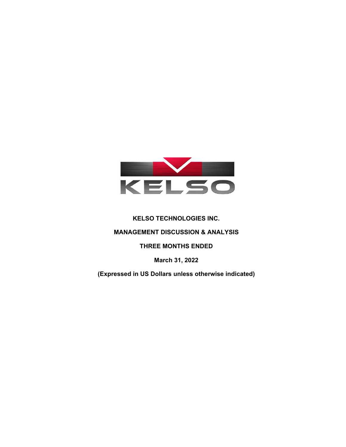

# **MANAGEMENT DISCUSSION & ANALYSIS**

# **THREE MONTHS ENDED**

**March 31, 2022** 

**(Expressed in US Dollars unless otherwise indicated)**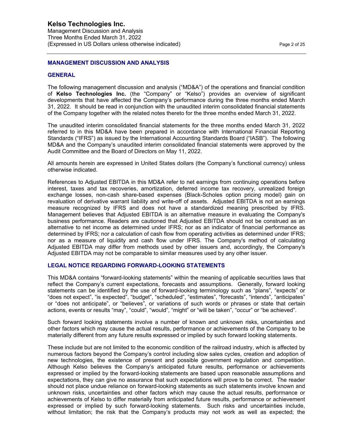Management Discussion and Analysis Three Months Ended March 31, 2022 (Expressed in US Dollars unless otherwise indicated) Page 2 of 25

#### **MANAGEMENT DISCUSSION AND ANALYSIS**

#### **GENERAL**

The following management discussion and analysis ("MD&A") of the operations and financial condition of **Kelso Technologies Inc.** (the "Company" or "Kelso") provides an overview of significant developments that have affected the Company's performance during the three months ended March 31, 2022. It should be read in conjunction with the unaudited interim consolidated financial statements of the Company together with the related notes thereto for the three months ended March 31, 2022.

The unaudited interim consolidated financial statements for the three months ended March 31, 2022 referred to in this MD&A have been prepared in accordance with International Financial Reporting Standards ("IFRS") as issued by the International Accounting Standards Board ("IASB"). The following MD&A and the Company's unaudited interim consolidated financial statements were approved by the Audit Committee and the Board of Directors on May 11, 2022.

All amounts herein are expressed in United States dollars (the Company's functional currency) unless otherwise indicated.

References to Adjusted EBITDA in this MD&A refer to net earnings from continuing operations before interest, taxes and tax recoveries, amortization, deferred income tax recovery, unrealized foreign exchange losses, non-cash share-based expenses (Black-Scholes option pricing model) gain on revaluation of derivative warrant liability and write-off of assets. Adjusted EBITDA is not an earnings measure recognized by IFRS and does not have a standardized meaning prescribed by IFRS. Management believes that Adjusted EBITDA is an alternative measure in evaluating the Company's business performance. Readers are cautioned that Adjusted EBITDA should not be construed as an alternative to net income as determined under IFRS; nor as an indicator of financial performance as determined by IFRS; nor a calculation of cash flow from operating activities as determined under IFRS; nor as a measure of liquidity and cash flow under IFRS. The Company's method of calculating Adjusted EBITDA may differ from methods used by other issuers and, accordingly, the Company's Adjusted EBITDA may not be comparable to similar measures used by any other issuer.

### **LEGAL NOTICE REGARDING FORWARD-LOOKING STATEMENTS**

This MD&A contains "forward-looking statements" within the meaning of applicable securities laws that reflect the Company's current expectations, forecasts and assumptions. Generally, forward looking statements can be identified by the use of forward-looking terminology such as "plans", "expects" or "does not expect", "is expected", "budget", "scheduled", "estimates", "forecasts", "intends", "anticipates" or "does not anticipate", or "believes", or variations of such words or phrases or state that certain actions, events or results "may", "could", "would", "might" or "will be taken", "occur" or "be achieved".

Such forward looking statements involve a number of known and unknown risks, uncertainties and other factors which may cause the actual results, performance or achievements of the Company to be materially different from any future results expressed or implied by such forward looking statements.

These include but are not limited to the economic condition of the railroad industry, which is affected by numerous factors beyond the Company's control including slow sales cycles, creation and adoption of new technologies, the existence of present and possible government regulation and competition. Although Kelso believes the Company's anticipated future results, performance or achievements expressed or implied by the forward-looking statements are based upon reasonable assumptions and expectations, they can give no assurance that such expectations will prove to be correct. The reader should not place undue reliance on forward-looking statements as such statements involve known and unknown risks, uncertainties and other factors which may cause the actual results, performance or achievements of Kelso to differ materially from anticipated future results, performance or achievement expressed or implied by such forward-looking statements. Such risks and uncertainties include, without limitation; the risk that the Company's products may not work as well as expected; the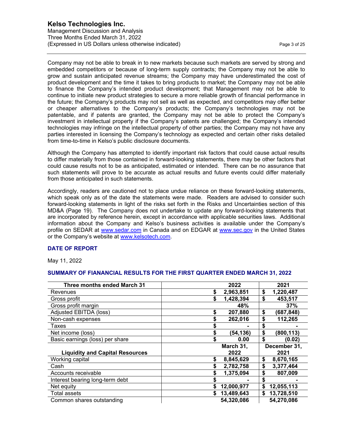Management Discussion and Analysis Three Months Ended March 31, 2022 (Expressed in US Dollars unless otherwise indicated) Page 3 of 25

Company may not be able to break in to new markets because such markets are served by strong and embedded competitors or because of long-term supply contracts; the Company may not be able to grow and sustain anticipated revenue streams; the Company may have underestimated the cost of product development and the time it takes to bring products to market; the Company may not be able to finance the Company's intended product development; that Management may not be able to continue to initiate new product strategies to secure a more reliable growth of financial performance in the future; the Company's products may not sell as well as expected, and competitors may offer better or cheaper alternatives to the Company's products; the Company's technologies may not be patentable, and if patents are granted, the Company may not be able to protect the Company's investment in intellectual property if the Company's patents are challenged; the Company's intended technologies may infringe on the intellectual property of other parties; the Company may not have any parties interested in licensing the Company's technology as expected and certain other risks detailed from time-to-time in Kelso's public disclosure documents.

Although the Company has attempted to identify important risk factors that could cause actual results to differ materially from those contained in forward-looking statements, there may be other factors that could cause results not to be as anticipated, estimated or intended. There can be no assurance that such statements will prove to be accurate as actual results and future events could differ materially from those anticipated in such statements.

Accordingly, readers are cautioned not to place undue reliance on these forward-looking statements, which speak only as of the date the statements were made. Readers are advised to consider such forward-looking statements in light of the risks set forth in the Risks and Uncertainties section of this MD&A (Page 19). The Company does not undertake to update any forward-looking statements that are incorporated by reference herein, except in accordance with applicable securities laws. Additional information about the Company and Kelso's business activities is available under the Company's profile on SEDAR at www.sedar.com in Canada and on EDGAR at www.sec.gov in the United States or the Company's website at www.kelsotech.com.

## **DATE OF REPORT**

May 11, 2022

### **SUMMARY OF FIANANCIAL RESULTS FOR THE FIRST QUARTER ENDED MARCH 31, 2022**

| <b>Three months ended March 31</b>     | 2022            | 2021             |
|----------------------------------------|-----------------|------------------|
| Revenues                               | \$<br>2,963,851 | \$<br>1,220,487  |
| Gross profit                           | \$<br>1,428,394 | \$<br>453,517    |
| Gross profit margin                    | 48%             | 37%              |
| Adjusted EBITDA (loss)                 | \$<br>207,880   | \$<br>(687,848)  |
| Non-cash expenses                      | \$<br>262,016   | \$<br>112,265    |
| Taxes                                  |                 | \$               |
| Net income (loss)                      | \$<br>(54,136)  | \$<br>(800, 113) |
| Basic earnings (loss) per share        | \$<br>0.00      | \$<br>(0.02)     |
|                                        | March 31,       | December 31,     |
| <b>Liquidity and Capital Resources</b> | 2022            | 2021             |
| Working capital                        | \$<br>8,845,629 | \$<br>8,670,165  |
| Cash                                   | 2,782,758       | \$<br>3,377,464  |
| Accounts receivable                    | \$<br>1,375,094 | \$<br>807,009    |
| Interest bearing long-term debt        |                 | \$               |
| Net equity                             | 12,000,977      | 12,055,113<br>S  |
| <b>Total assets</b>                    | 13,489,643      | 13,728,510<br>\$ |
|                                        |                 |                  |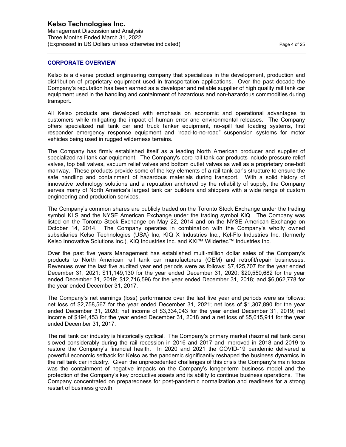Management Discussion and Analysis Three Months Ended March 31, 2022 (Expressed in US Dollars unless otherwise indicated) Page 4 of 25

#### **CORPORATE OVERVIEW**

Kelso is a diverse product engineering company that specializes in the development, production and distribution of proprietary equipment used in transportation applications. Over the past decade the Company's reputation has been earned as a developer and reliable supplier of high quality rail tank car equipment used in the handling and containment of hazardous and non-hazardous commodities during transport.

All Kelso products are developed with emphasis on economic and operational advantages to customers while mitigating the impact of human error and environmental releases. The Company offers specialized rail tank car and truck tanker equipment, no-spill fuel loading systems, first responder emergency response equipment and "road-to-no-road" suspension systems for motor vehicles being used in rugged wilderness terrains.

The Company has firmly established itself as a leading North American producer and supplier of specialized rail tank car equipment. The Company's core rail tank car products include pressure relief valves, top ball valves, vacuum relief valves and bottom outlet valves as well as a proprietary one-bolt manway. These products provide some of the key elements of a rail tank car's structure to ensure the safe handling and containment of hazardous materials during transport. With a solid history of innovative technology solutions and a reputation anchored by the reliability of supply, the Company serves many of North America's largest tank car builders and shippers with a wide range of custom engineering and production services.

The Company's common shares are publicly traded on the Toronto Stock Exchange under the trading symbol KLS and the NYSE American Exchange under the trading symbol KIQ. The Company was listed on the Toronto Stock Exchange on May 22, 2014 and on the NYSE American Exchange on October 14, 2014. The Company operates in combination with the Company's wholly owned subsidiaries Kelso Technologies (USA) Inc, KIQ X Industries Inc., Kel-Flo Industries Inc. (formerly Kelso Innovative Solutions Inc.), KIQ Industries Inc. and KXI™ Wildertec™ Industries Inc.

Over the past five years Management has established multi-million dollar sales of the Company's products to North American rail tank car manufacturers (OEM) and retrofit/repair businesses. Revenues over the last five audited year end periods were as follows: \$7,425,707 for the year ended December 31, 2021; \$11,149,130 for the year ended December 31, 2020; \$20,550,682 for the year ended December 31, 2019; \$12,716,596 for the year ended December 31, 2018; and \$6,062,778 for the year ended December 31, 2017.

The Company's net earnings (loss) performance over the last five year end periods were as follows: net loss of \$2,758,567 for the year ended December 31, 2021; net loss of \$1,307,890 for the year ended December 31, 2020; net income of \$3,334,043 for the year ended December 31, 2019; net income of \$194,453 for the year ended December 31, 2018 and a net loss of \$5,015,911 for the year ended December 31, 2017.

The rail tank car industry is historically cyclical. The Company's primary market (hazmat rail tank cars) slowed considerably during the rail recession in 2016 and 2017 and improved in 2018 and 2019 to restore the Company's financial health. In 2020 and 2021 the COVID-19 pandemic delivered a powerful economic setback for Kelso as the pandemic significantly reshaped the business dynamics in the rail tank car industry. Given the unprecedented challenges of this crisis the Company's main focus was the containment of negative impacts on the Company's longer-term business model and the protection of the Company's key productive assets and its ability to continue business operations. The Company concentrated on preparedness for post-pandemic normalization and readiness for a strong restart of business growth.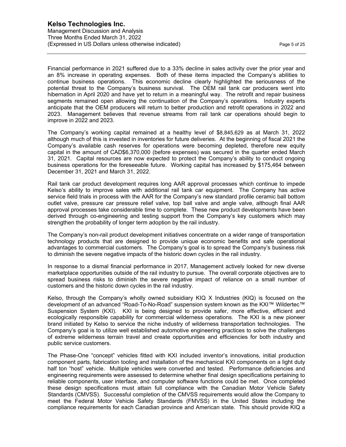Financial performance in 2021 suffered due to a 33% decline in sales activity over the prior year and an 8% increase in operating expenses. Both of these items impacted the Company's abilities to continue business operations. This economic decline clearly highlighted the seriousness of the potential threat to the Company's business survival. The OEM rail tank car producers went into hibernation in April 2020 and have yet to return in a meaningful way. The retrofit and repair business segments remained open allowing the continuation of the Company's operations. Industry experts anticipate that the OEM producers will return to better production and retrofit operations in 2022 and 2023. Management believes that revenue streams from rail tank car operations should begin to improve in 2022 and 2023.

The Company's working capital remained at a healthy level of \$8,845,629 as at March 31, 2022 although much of this is invested in inventories for future deliveries. At the beginning of fiscal 2021 the Company's available cash reserves for operations were becoming depleted, therefore new equity capital in the amount of CAD\$6,370,000 (before expenses) was secured in the quarter ended March 31, 2021. Capital resources are now expected to protect the Company's ability to conduct ongoing business operations for the foreseeable future. Working capital has increased by \$175,464 between December 31, 2021 and March 31, 2022.

Rail tank car product development requires long AAR approval processes which continue to impede Kelso's ability to improve sales with additional rail tank car equipment. The Company has active service field trials in process with the AAR for the Company's new standard profile ceramic ball bottom outlet valve, pressure car pressure relief valve, top ball valve and angle valve, although final AAR approval processes take considerable time to complete. These new product developments have been derived through co-engineering and testing support from the Company's key customers which may strengthen the probability of longer term adoption by the rail industry.

The Company's non-rail product development initiatives concentrate on a wider range of transportation technology products that are designed to provide unique economic benefits and safe operational advantages to commercial customers. The Company's goal is to spread the Company's business risk to diminish the severe negative impacts of the historic down cycles in the rail industry.

In response to a dismal financial performance in 2017, Management actively looked for new diverse marketplace opportunities outside of the rail industry to pursue. The overall corporate objectives are to spread business risks to diminish the severe negative impact of reliance on a small number of customers and the historic down cycles in the rail industry.

Kelso, through the Company's wholly owned subsidiary KIQ X Industries (KIQ) is focused on the development of an advanced "Road-To-No-Road" suspension system known as the KXI™ Wildertec™ Suspension System (KXI). KXI is being designed to provide safer, more effective, efficient and ecologically responsible capability for commercial wilderness operations. The KXI is a new pioneer brand initiated by Kelso to service the niche industry of wilderness transportation technologies. The Company's goal is to utilize well established automotive engineering practices to solve the challenges of extreme wilderness terrain travel and create opportunities and efficiencies for both industry and public service customers.

The Phase-One "concept" vehicles fitted with KXI included inventor's innovations, initial production component parts, fabrication tooling and installation of the mechanical KXI components on a light duty half ton "host" vehicle. Multiple vehicles were converted and tested. Performance deficiencies and engineering requirements were assessed to determine whether final design specifications pertaining to reliable components, user interface, and computer software functions could be met. Once completed these design specifications must attain full compliance with the Canadian Motor Vehicle Safety Standards (CMVSS). Successful completion of the CMVSS requirements would allow the Company to meet the Federal Motor Vehicle Safety Standards (FMVSS) in the United States including the compliance requirements for each Canadian province and American state. This should provide KIQ a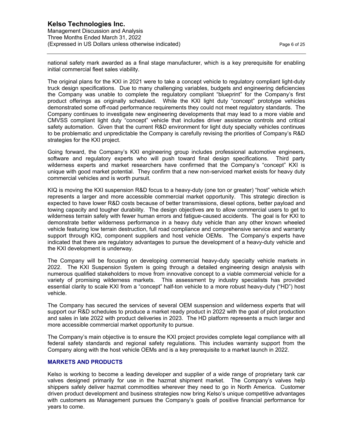national safety mark awarded as a final stage manufacturer, which is a key prerequisite for enabling initial commercial fleet sales viability.

The original plans for the KXI in 2021 were to take a concept vehicle to regulatory compliant light-duty truck design specifications. Due to many challenging variables, budgets and engineering deficiencies the Company was unable to complete the regulatory compliant "blueprint" for the Company's first product offerings as originally scheduled. While the KXI light duty "concept" prototype vehicles demonstrated some off-road performance requirements they could not meet regulatory standards. The Company continues to investigate new engineering developments that may lead to a more viable and CMVSS compliant light duty "concept" vehicle that includes driver assistance controls and critical safety automation. Given that the current R&D environment for light duty specialty vehicles continues to be problematic and unpredictable the Company is carefully revising the priorities of Company's R&D strategies for the KXI project.

Going forward, the Company's KXI engineering group includes professional automotive engineers, software and regulatory experts who will push toward final design specifications. Third party wilderness experts and market researchers have confirmed that the Company's "concept" KXI is unique with good market potential. They confirm that a new non-serviced market exists for heavy duty commercial vehicles and is worth pursuit.

KIQ is moving the KXI suspension R&D focus to a heavy-duty (one ton or greater) "host" vehicle which represents a larger and more accessible commercial market opportunity. This strategic direction is expected to have lower R&D costs because of better transmissions, diesel options, better payload and towing capacity and tougher durability. The design objectives are to allow commercial users to get to wilderness terrain safely with fewer human errors and fatigue-caused accidents. The goal is for KXI to demonstrate better wilderness performance in a heavy duty vehicle than any other known wheeled vehicle featuring low terrain destruction, full road compliance and comprehensive service and warranty support through KIQ, component suppliers and host vehicle OEMs. The Company's experts have indicated that there are regulatory advantages to pursue the development of a heavy-duty vehicle and the KXI development is underway.

The Company will be focusing on developing commercial heavy-duty specialty vehicle markets in 2022. The KXI Suspension System is going through a detailed engineering design analysis with numerous qualified stakeholders to move from innovative concept to a viable commercial vehicle for a variety of promising wilderness markets. This assessment by industry specialists has provided essential clarity to scale KXI from a "concept" half-ton vehicle to a more robust heavy-duty ("HD") host vehicle.

The Company has secured the services of several OEM suspension and wilderness experts that will support our R&D schedules to produce a market ready product in 2022 with the goal of pilot production and sales in late 2022 with product deliveries in 2023. The HD platform represents a much larger and more accessible commercial market opportunity to pursue.

The Company's main objective is to ensure the KXI project provides complete legal compliance with all federal safety standards and regional safety regulations. This includes warranty support from the Company along with the host vehicle OEMs and is a key prerequisite to a market launch in 2022.

### **MARKETS AND PRODUCTS**

Kelso is working to become a leading developer and supplier of a wide range of proprietary tank car valves designed primarily for use in the hazmat shipment market. The Company's valves help shippers safely deliver hazmat commodities wherever they need to go in North America. Customer driven product development and business strategies now bring Kelso's unique competitive advantages with customers as Management pursues the Company's goals of positive financial performance for years to come.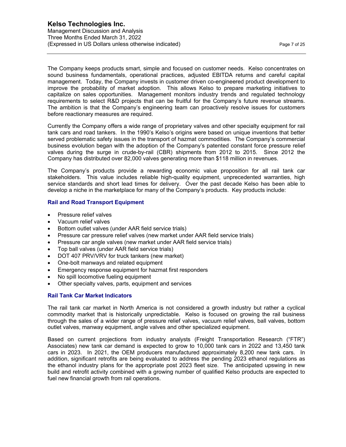The Company keeps products smart, simple and focused on customer needs. Kelso concentrates on sound business fundamentals, operational practices, adjusted EBITDA returns and careful capital management. Today, the Company invests in customer driven co-engineered product development to improve the probability of market adoption. This allows Kelso to prepare marketing initiatives to capitalize on sales opportunities. Management monitors industry trends and regulated technology requirements to select R&D projects that can be fruitful for the Company's future revenue streams. The ambition is that the Company's engineering team can proactively resolve issues for customers before reactionary measures are required.

Currently the Company offers a wide range of proprietary valves and other specialty equipment for rail tank cars and road tankers. In the 1990's Kelso's origins were based on unique inventions that better served problematic safety issues in the transport of hazmat commodities. The Company's commercial business evolution began with the adoption of the Company's patented constant force pressure relief valves during the surge in crude-by-rail (CBR) shipments from 2012 to 2015. Since 2012 the Company has distributed over 82,000 valves generating more than \$118 million in revenues.

The Company's products provide a rewarding economic value proposition for all rail tank car stakeholders. This value includes reliable high-quality equipment, unprecedented warranties, high service standards and short lead times for delivery. Over the past decade Kelso has been able to develop a niche in the marketplace for many of the Company's products. Key products include:

## **Rail and Road Transport Equipment**

- Pressure relief valves
- Vacuum relief valves
- Bottom outlet valves (under AAR field service trials)
- Pressure car pressure relief valves (new market under AAR field service trials)
- Pressure car angle valves (new market under AAR field service trials)
- Top ball valves (under AAR field service trials)
- DOT 407 PRV/VRV for truck tankers (new market)
- One-bolt manways and related equipment
- Emergency response equipment for hazmat first responders
- No spill locomotive fueling equipment
- Other specialty valves, parts, equipment and services

## **Rail Tank Car Market Indicators**

The rail tank car market in North America is not considered a growth industry but rather a cyclical commodity market that is historically unpredictable. Kelso is focused on growing the rail business through the sales of a wider range of pressure relief valves, vacuum relief valves, ball valves, bottom outlet valves, manway equipment, angle valves and other specialized equipment.

Based on current projections from industry analysts (Freight Transportation Research ("FTR") Associates) new tank car demand is expected to grow to 10,000 tank cars in 2022 and 13,450 tank cars in 2023. In 2021, the OEM producers manufactured approximately 8,200 new tank cars. In addition, significant retrofits are being evaluated to address the pending 2023 ethanol regulations as the ethanol industry plans for the appropriate post 2023 fleet size. The anticipated upswing in new build and retrofit activity combined with a growing number of qualified Kelso products are expected to fuel new financial growth from rail operations.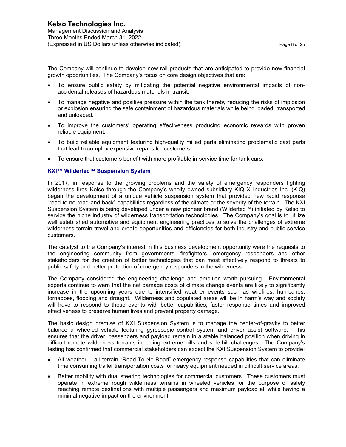The Company will continue to develop new rail products that are anticipated to provide new financial growth opportunities. The Company's focus on core design objectives that are:

- To ensure public safety by mitigating the potential negative environmental impacts of nonaccidental releases of hazardous materials in transit.
- To manage negative and positive pressure within the tank thereby reducing the risks of implosion or explosion ensuring the safe containment of hazardous materials while being loaded, transported and unloaded.
- To improve the customers' operating effectiveness producing economic rewards with proven reliable equipment.
- To build reliable equipment featuring high-quality milled parts eliminating problematic cast parts that lead to complex expensive repairs for customers.
- To ensure that customers benefit with more profitable in-service time for tank cars.

## **KXI™ Wildertec™ Suspension System**

In 2017, in response to the growing problems and the safety of emergency responders fighting wilderness fires Kelso through the Company's wholly owned subsidiary KIQ X Industries Inc. (KIQ) began the development of a unique vehicle suspension system that provided new rapid response "road-to-no-road-and-back" capabilities regardless of the climate or the severity of the terrain. The KXI Suspension System is being developed under a new pioneer brand (Wildertec™) initiated by Kelso to service the niche industry of wilderness transportation technologies. The Company's goal is to utilize well established automotive and equipment engineering practices to solve the challenges of extreme wilderness terrain travel and create opportunities and efficiencies for both industry and public service customers.

The catalyst to the Company's interest in this business development opportunity were the requests to the engineering community from governments, firefighters, emergency responders and other stakeholders for the creation of better technologies that can most effectively respond to threats to public safety and better protection of emergency responders in the wilderness.

The Company considered the engineering challenge and ambition worth pursuing. Environmental experts continue to warn that the net damage costs of climate change events are likely to significantly increase in the upcoming years due to intensified weather events such as wildfires, hurricanes, tornadoes, flooding and drought. Wilderness and populated areas will be in harm's way and society will have to respond to these events with better capabilities, faster response times and improved effectiveness to preserve human lives and prevent property damage.

The basic design premise of KXI Suspension System is to manage the center-of-gravity to better balance a wheeled vehicle featuring gyroscopic control system and driver assist software. This ensures that the driver, passengers and payload remain in a stable balanced position when driving in difficult remote wilderness terrains including extreme hills and side-hill challenges. The Company's testing has confirmed that commercial stakeholders can expect the KXI Suspension System to provide:

- All weather all terrain "Road-To-No-Road" emergency response capabilities that can eliminate time consuming trailer transportation costs for heavy equipment needed in difficult service areas.
- Better mobility with dual steering technologies for commercial customers. These customers must operate in extreme rough wilderness terrains in wheeled vehicles for the purpose of safely reaching remote destinations with multiple passengers and maximum payload all while having a minimal negative impact on the environment.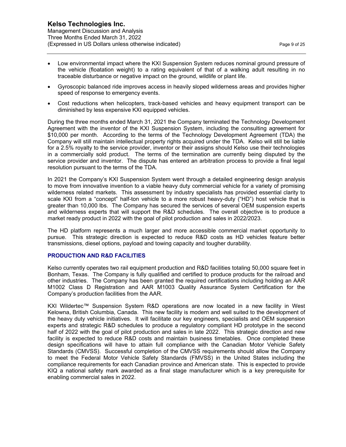- Low environmental impact where the KXI Suspension System reduces nominal ground pressure of the vehicle (floatation weight) to a rating equivalent of that of a walking adult resulting in no traceable disturbance or negative impact on the ground, wildlife or plant life.
- Gyroscopic balanced ride improves access in heavily sloped wilderness areas and provides higher speed of response to emergency events.
- Cost reductions when helicopters, track-based vehicles and heavy equipment transport can be diminished by less expensive KXI equipped vehicles.

During the three months ended March 31, 2021 the Company terminated the Technology Development Agreement with the inventor of the KXI Suspension System, including the consulting agreement for \$10,000 per month. According to the terms of the Technology Development Agreement (TDA) the Company will still maintain intellectual property rights acquired under the TDA. Kelso will still be liable for a 2.5% royalty to the service provider, inventor or their assigns should Kelso use their technologies in a commercially sold product. The terms of the termination are currently being disputed by the service provider and inventor. The dispute has entered an arbitration process to provide a final legal resolution pursuant to the terms of the TDA.

In 2021 the Company's KXI Suspension System went through a detailed engineering design analysis to move from innovative invention to a viable heavy duty commercial vehicle for a variety of promising wilderness related markets. This assessment by industry specialists has provided essential clarity to scale KXI from a "concept" half-ton vehicle to a more robust heavy-duty ("HD") host vehicle that is greater than 10,000 lbs. The Company has secured the services of several OEM suspension experts and wilderness experts that will support the R&D schedules. The overall objective is to produce a market ready product in 2022 with the goal of pilot production and sales in 2022/2023.

The HD platform represents a much larger and more accessible commercial market opportunity to pursue. This strategic direction is expected to reduce R&D costs as HD vehicles feature better transmissions, diesel options, payload and towing capacity and tougher durability.

### **PRODUCTION AND R&D FACILITIES**

Kelso currently operates two rail equipment production and R&D facilities totaling 50,000 square feet in Bonham, Texas. The Company is fully qualified and certified to produce products for the railroad and other industries. The Company has been granted the required certifications including holding an AAR M1002 Class D Registration and AAR M1003 Quality Assurance System Certification for the Company's production facilities from the AAR.

KXI Wildertec™ Suspension System R&D operations are now located in a new facility in West Kelowna, British Columbia, Canada. This new facility is modern and well suited to the development of the heavy duty vehicle initiatives. It will facilitate our key engineers, specialists and OEM suspension experts and strategic R&D schedules to produce a regulatory compliant HD prototype in the second half of 2022 with the goal of pilot production and sales in late 2022. This strategic direction and new facility is expected to reduce R&D costs and maintain business timetables. Once completed these design specifications will have to attain full compliance with the Canadian Motor Vehicle Safety Standards (CMVSS). Successful completion of the CMVSS requirements should allow the Company to meet the Federal Motor Vehicle Safety Standards (FMVSS) in the United States including the compliance requirements for each Canadian province and American state. This is expected to provide KIQ a national safety mark awarded as a final stage manufacturer which is a key prerequisite for enabling commercial sales in 2022.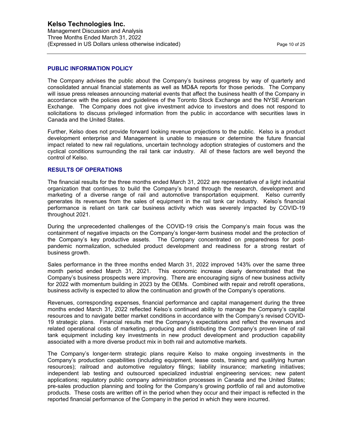#### **PUBLIC INFORMATION POLICY**

The Company advises the public about the Company's business progress by way of quarterly and consolidated annual financial statements as well as MD&A reports for those periods. The Company will issue press releases announcing material events that affect the business health of the Company in accordance with the policies and guidelines of the Toronto Stock Exchange and the NYSE American Exchange. The Company does not give investment advice to investors and does not respond to solicitations to discuss privileged information from the public in accordance with securities laws in Canada and the United States.

Further, Kelso does not provide forward looking revenue projections to the public. Kelso is a product development enterprise and Management is unable to measure or determine the future financial impact related to new rail regulations, uncertain technology adoption strategies of customers and the cyclical conditions surrounding the rail tank car industry. All of these factors are well beyond the control of Kelso.

#### **RESULTS OF OPERATIONS**

The financial results for the three months ended March 31, 2022 are representative of a light industrial organization that continues to build the Company's brand through the research, development and marketing of a diverse range of rail and automotive transportation equipment. Kelso currently generates its revenues from the sales of equipment in the rail tank car industry. Kelso's financial performance is reliant on tank car business activity which was severely impacted by COVID-19 throughout 2021.

During the unprecedented challenges of the COVID-19 crisis the Company's main focus was the containment of negative impacts on the Company's longer-term business model and the protection of the Company's key productive assets. The Company concentrated on preparedness for postpandemic normalization, scheduled product development and readiness for a strong restart of business growth.

Sales performance in the three months ended March 31, 2022 improved 143% over the same three month period ended March 31, 2021. This economic increase clearly demonstrated that the Company's business prospects were improving. There are encouraging signs of new business activity for 2022 with momentum building in 2023 by the OEMs. Combined with repair and retrofit operations, business activity is expected to allow the continuation and growth of the Company's operations.

Revenues, corresponding expenses, financial performance and capital management during the three months ended March 31, 2022 reflected Kelso's continued ability to manage the Company's capital resources and to navigate better market conditions in accordance with the Company's revised COVID-19 strategic plans. Financial results met the Company's expectations and reflect the revenues and related operational costs of marketing, producing and distributing the Company's proven line of rail tank equipment including key investments in new product development and production capability associated with a more diverse product mix in both rail and automotive markets.

The Company's longer-term strategic plans require Kelso to make ongoing investments in the Company's production capabilities (including equipment, lease costs, training and qualifying human resources); railroad and automotive regulatory filings; liability insurance; marketing initiatives; independent lab testing and outsourced specialized industrial engineering services; new patent applications; regulatory public company administration processes in Canada and the United States; pre-sales production planning and tooling for the Company's growing portfolio of rail and automotive products. These costs are written off in the period when they occur and their impact is reflected in the reported financial performance of the Company in the period in which they were incurred.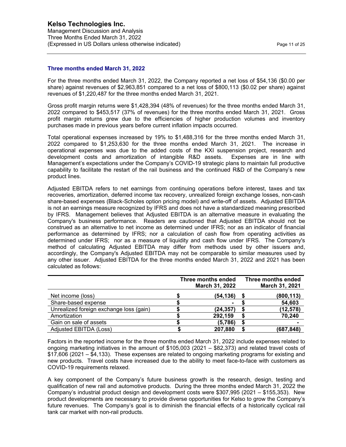#### **Three months ended March 31, 2022**

For the three months ended March 31, 2022, the Company reported a net loss of \$54,136 (\$0.00 per share) against revenues of \$2,963,851 compared to a net loss of \$800,113 (\$0.02 per share) against revenues of \$1,220,487 for the three months ended March 31, 2021.

Gross profit margin returns were \$1,428,394 (48% of revenues) for the three months ended March 31, 2022 compared to \$453,517 (37% of revenues) for the three months ended March 31, 2021. Gross profit margin returns grew due to the efficiencies of higher production volumes and inventory purchases made in previous years before current inflation impacts occurred.

Total operational expenses increased by 19% to \$1,488,316 for the three months ended March 31, 2022 compared to \$1,253,630 for the three months ended March 31, 2021. The increase in operational expenses was due to the added costs of the KXI suspension project, research and development costs and amortization of intangible R&D assets. Expenses are in line with Management's expectations under the Company's COVID-19 strategic plans to maintain full productive capability to facilitate the restart of the rail business and the continued R&D of the Company's new product lines.

Adjusted EBITDA refers to net earnings from continuing operations before interest, taxes and tax recoveries, amortization, deferred income tax recovery, unrealized foreign exchange losses, non-cash share-based expenses (Black-Scholes option pricing model) and write-off of assets. Adjusted EBITDA is not an earnings measure recognized by IFRS and does not have a standardized meaning prescribed by IFRS. Management believes that Adjusted EBITDA is an alternative measure in evaluating the Company's business performance. Readers are cautioned that Adjusted EBITDA should not be construed as an alternative to net income as determined under IFRS; nor as an indicator of financial performance as determined by IFRS; nor a calculation of cash flow from operating activities as determined under IFRS; nor as a measure of liquidity and cash flow under IFRS. The Company's method of calculating Adjusted EBITDA may differ from methods used by other issuers and, accordingly, the Company's Adjusted EBITDA may not be comparable to similar measures used by any other issuer. Adjusted EBITDA for the three months ended March 31, 2022 and 2021 has been calculated as follows:

|                                         | Three months ended<br>March 31, 2022 | Three months ended<br>March 31, 2021 |
|-----------------------------------------|--------------------------------------|--------------------------------------|
| Net income (loss)                       | (54,136)                             | (800, 113)                           |
| Share-based expense                     |                                      | 54,603                               |
| Unrealized foreign exchange loss (gain) | (24, 357)                            | (12, 578)                            |
| Amortization                            | 292,159                              | 70,240                               |
| Gain on sale of assets                  | (5,786)                              |                                      |
| Adjusted EBITDA (Loss)                  | 207,880                              | (687, 848)                           |

Factors in the reported income for the three months ended March 31, 2022 include expenses related to ongoing marketing initiatives in the amount of \$105,003 (2021 – \$82,373) and related travel costs of \$17,606 (2021 – \$4,133). These expenses are related to ongoing marketing programs for existing and new products. Travel costs have increased due to the ability to meet face-to-face with customers as COVID-19 requirements relaxed.

A key component of the Company's future business growth is the research, design, testing and qualification of new rail and automotive products. During the three months ended March 31, 2022 the Company's industrial product design and development costs were \$307,995 (2021 – \$155,353). New product developments are necessary to provide diverse opportunities for Kelso to grow the Company's future revenues. The Company's goal is to diminish the financial effects of a historically cyclical rail tank car market with non-rail products.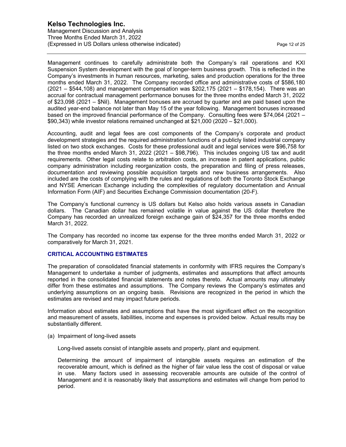Management Discussion and Analysis Three Months Ended March 31, 2022 (Expressed in US Dollars unless otherwise indicated) expressed in the Page 12 of 25

Management continues to carefully administrate both the Company's rail operations and KXI Suspension System development with the goal of longer-term business growth. This is reflected in the Company's investments in human resources, marketing, sales and production operations for the three months ended March 31, 2022. The Company recorded office and administrative costs of \$586,180 (2021 – \$544,108) and management compensation was \$202,175 (2021 – \$178,154). There was an accrual for contractual management performance bonuses for the three months ended March 31, 2022 of \$23,098 (2021 – \$Nil). Management bonuses are accrued by quarter and are paid based upon the audited year-end balance not later than May 15 of the year following. Management bonuses increased based on the improved financial performance of the Company. Consulting fees were \$74,064 (2021 – \$90,343) while investor relations remained unchanged at \$21,000 (2020 – \$21,000).

Accounting, audit and legal fees are cost components of the Company's corporate and product development strategies and the required administration functions of a publicly listed industrial company listed on two stock exchanges. Costs for these professional audit and legal services were \$96,758 for the three months ended March 31, 2022 (2021 – \$98,796). This includes ongoing US tax and audit requirements. Other legal costs relate to arbitration costs, an increase in patent applications, public company administration including reorganization costs, the preparation and filing of press releases, documentation and reviewing possible acquisition targets and new business arrangements. Also included are the costs of complying with the rules and regulations of both the Toronto Stock Exchange and NYSE American Exchange including the complexities of regulatory documentation and Annual Information Form (AIF) and Securities Exchange Commission documentation (20-F).

The Company's functional currency is US dollars but Kelso also holds various assets in Canadian dollars. The Canadian dollar has remained volatile in value against the US dollar therefore the Company has recorded an unrealized foreign exchange gain of \$24,357 for the three months ended March 31, 2022.

The Company has recorded no income tax expense for the three months ended March 31, 2022 or comparatively for March 31, 2021.

### **CRITICAL ACCOUNTING ESTIMATES**

The preparation of consolidated financial statements in conformity with IFRS requires the Company's Management to undertake a number of judgments, estimates and assumptions that affect amounts reported in the consolidated financial statements and notes thereto. Actual amounts may ultimately differ from these estimates and assumptions. The Company reviews the Company's estimates and underlying assumptions on an ongoing basis. Revisions are recognized in the period in which the estimates are revised and may impact future periods.

Information about estimates and assumptions that have the most significant effect on the recognition and measurement of assets, liabilities, income and expenses is provided below. Actual results may be substantially different.

(a) Impairment of long-lived assets

Long-lived assets consist of intangible assets and property, plant and equipment.

Determining the amount of impairment of intangible assets requires an estimation of the recoverable amount, which is defined as the higher of fair value less the cost of disposal or value in use. Many factors used in assessing recoverable amounts are outside of the control of Management and it is reasonably likely that assumptions and estimates will change from period to period.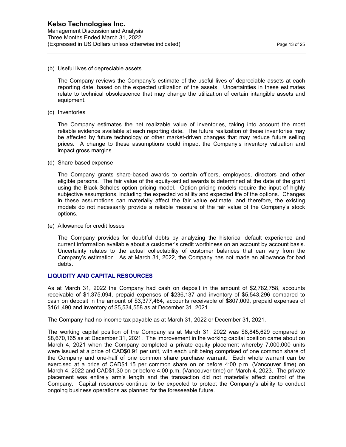(b) Useful lives of depreciable assets

The Company reviews the Company's estimate of the useful lives of depreciable assets at each reporting date, based on the expected utilization of the assets. Uncertainties in these estimates relate to technical obsolescence that may change the utilization of certain intangible assets and equipment.

(c) Inventories

The Company estimates the net realizable value of inventories, taking into account the most reliable evidence available at each reporting date. The future realization of these inventories may be affected by future technology or other market-driven changes that may reduce future selling prices. A change to these assumptions could impact the Company's inventory valuation and impact gross margins.

(d) Share-based expense

The Company grants share-based awards to certain officers, employees, directors and other eligible persons. The fair value of the equity-settled awards is determined at the date of the grant using the Black-Scholes option pricing model. Option pricing models require the input of highly subjective assumptions, including the expected volatility and expected life of the options. Changes in these assumptions can materially affect the fair value estimate, and therefore, the existing models do not necessarily provide a reliable measure of the fair value of the Company's stock options.

(e) Allowance for credit losses

The Company provides for doubtful debts by analyzing the historical default experience and current information available about a customer's credit worthiness on an account by account basis. Uncertainty relates to the actual collectability of customer balances that can vary from the Company's estimation. As at March 31, 2022, the Company has not made an allowance for bad debts.

## **LIQUIDITY AND CAPITAL RESOURCES**

As at March 31, 2022 the Company had cash on deposit in the amount of \$2,782,758, accounts receivable of \$1,375,094, prepaid expenses of \$236,137 and inventory of \$5,543,296 compared to cash on deposit in the amount of \$3,377,464, accounts receivable of \$807,009, prepaid expenses of \$161,490 and inventory of \$5,534,558 as at December 31, 2021.

The Company had no income tax payable as at March 31, 2022 or December 31, 2021.

The working capital position of the Company as at March 31, 2022 was \$8,845,629 compared to \$8,670,165 as at December 31, 2021. The improvement in the working capital position came about on March 4, 2021 when the Company completed a private equity placement whereby 7,000,000 units were issued at a price of CAD\$0.91 per unit, with each unit being comprised of one common share of the Company and one-half of one common share purchase warrant. Each whole warrant can be exercised at a price of CAD\$1.15 per common share on or before 4:00 p.m. (Vancouver time) on March 4, 2022 and CAD\$1.30 on or before 4:00 p.m. (Vancouver time) on March 4, 2023. The private placement was entirely arm's length and the transaction did not materially affect control of the Company. Capital resources continue to be expected to protect the Company's ability to conduct ongoing business operations as planned for the foreseeable future.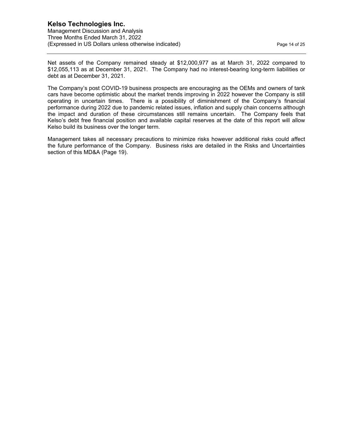Net assets of the Company remained steady at \$12,000,977 as at March 31, 2022 compared to \$12,055,113 as at December 31, 2021. The Company had no interest-bearing long-term liabilities or debt as at December 31, 2021.

The Company's post COVID-19 business prospects are encouraging as the OEMs and owners of tank cars have become optimistic about the market trends improving in 2022 however the Company is still operating in uncertain times. There is a possibility of diminishment of the Company's financial performance during 2022 due to pandemic related issues, inflation and supply chain concerns although the impact and duration of these circumstances still remains uncertain. The Company feels that Kelso's debt free financial position and available capital reserves at the date of this report will allow Kelso build its business over the longer term.

Management takes all necessary precautions to minimize risks however additional risks could affect the future performance of the Company. Business risks are detailed in the Risks and Uncertainties section of this MD&A (Page 19).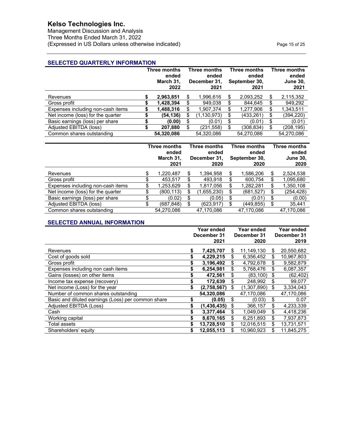Management Discussion and Analysis Three Months Ended March 31, 2022 (Expressed in US Dollars unless otherwise indicated) expressed in US Dollars unless otherwise indicated)

## **SELECTED QUARTERLY INFORMATION**

|                                   |   | <b>Three months</b><br>ended<br>March 31,<br>2022 |    | <b>Three months</b><br>ended<br>December 31,<br>2021 |    | <b>Three months</b><br>ended<br>September 30,<br>2021 |    | Three months<br>ended<br><b>June 30,</b><br>2021 |
|-----------------------------------|---|---------------------------------------------------|----|------------------------------------------------------|----|-------------------------------------------------------|----|--------------------------------------------------|
| Revenues                          | S | 2,963,851                                         | S  | 1,996,616                                            | \$ | 2,093,252                                             | \$ | 2,115,352                                        |
| Gross profit                      |   | 1.428.394                                         | S. | 949.038                                              | \$ | 844.645                                               | S  | 949.292                                          |
| Expenses including non-cash items |   | 1,488,316                                         |    | 1,907,374                                            | \$ | 1,277,906                                             | \$ | 1,343,511                                        |
| Net income (loss) for the quarter |   | (54,136)                                          | S  | (1,130,973)                                          | \$ | (433, 261)                                            | \$ | (394,220)                                        |
| Basic earnings (loss) per share   |   | (0.00)                                            | S  | (0.01)                                               | \$ | (0.01)                                                | \$ | (0.01)                                           |
| Adjusted EBITDA (loss)            |   | 207,880                                           | S. | (231,558)                                            | \$ | (308,834)                                             | \$ | (208,195)                                        |
| Common shares outstanding         |   | 54,320,086                                        |    | 54,320,086                                           |    | 54,270,086                                            |    | 54,270,086                                       |

|                                   |    | Three months<br><b>Three months</b><br>ended<br>ended<br>March 31,<br>December 31,<br>2021<br>2020 |  |            | Three months<br>ended<br>September 30,<br>2020 | Three months<br>ended<br><b>June 30,</b><br>2020 |                 |
|-----------------------------------|----|----------------------------------------------------------------------------------------------------|--|------------|------------------------------------------------|--------------------------------------------------|-----------------|
| Revenues                          | S  | 1,220,487                                                                                          |  | 1,394,958  | S                                              | 1,586,206                                        | \$<br>2,524,538 |
| Gross profit                      | ۰D | 453.517                                                                                            |  | 493.918    | \$                                             | 600.754                                          | \$<br>1,095,680 |
| Expenses including non-cash items | S  | 253,629. ا                                                                                         |  | 1,817,056  | S                                              | 1,282,281                                        | \$<br>1,350,108 |
| Net income (loss) for the quarter | S. | (800,113)                                                                                          |  | ,655,230)  | S                                              | (681, 527)                                       | \$<br>(254,428) |
| Basic earnings (loss) per share   |    | (0.02)                                                                                             |  | (0.05)     | \$                                             | (0.01)                                           | \$<br>(0.00)    |
| Adjusted EBITDA (loss)            |    | (687,848)                                                                                          |  | (623,917)  | S                                              | (449,855)                                        | \$<br>35,441    |
| Common shares outstanding         |    | 54.270.086                                                                                         |  | 47,170,086 |                                                | 47,170,086                                       | 47,170,086      |

#### **SELECTED ANNUAL INFORMATION**

|                                                    | <b>Year ended</b> |               |     | Year ended  | Year ended       |
|----------------------------------------------------|-------------------|---------------|-----|-------------|------------------|
|                                                    | December 31       |               |     | December 31 | December 31      |
|                                                    |                   | 2021          |     | 2020        | 2019             |
| Revenues                                           | \$                | 7,425,707     | S   | 11,149,130  | \$<br>20,550,682 |
| Cost of goods sold                                 | \$                | 4,229,215     | S   | 6,356,452   | \$<br>10,967,803 |
| Gross profit                                       | \$                | 3,196,492     | \$  | 4,792,678   | \$<br>9,582,879  |
| Expenses including non cash items                  | S                 | 6,254,981     | \$  | 5,768,476   | \$<br>6,087,357  |
| Gains (losses) on other items                      |                   | 472,561       |     | (83,100)    | \$<br>(62, 402)  |
| Income tax expense (recovery)                      |                   | 172,639       |     | 248,992     | \$<br>99,077     |
| Net income (Loss) for the year                     | \$                | (2,758,567)   | S   | (1,307,890) | \$<br>3,334,043  |
| Number of common shares outstanding                |                   | 54,320,086    |     | 47,170,086  | 47,170,086       |
| Basic and diluted earnings (Loss) per common share | \$                | (0.05)        | \$  | (0.03)      | \$<br>0.07       |
| Adjusted EBITDA (Loss)                             | \$                | (1, 436, 435) | \$  | 366,157     | \$<br>4,233,339  |
| Cash                                               | S                 | 3,377,464     | \$  | 1,049,049   | \$<br>4,418,236  |
| Working capital                                    | S                 | 8,670,165     | \$  | 6,251,893   | \$<br>7,937,873  |
| Total assets                                       | \$                | 13,728,510    | \$. | 12,016,515  | \$<br>13,731,571 |
| Shareholders' equity                               | \$                | 12,055,113    |     | 10.960.923  | \$<br>11.845.275 |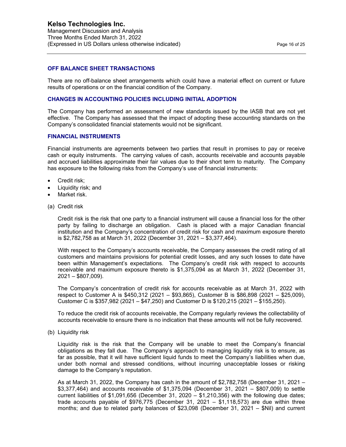#### **OFF BALANCE SHEET TRANSACTIONS**

There are no off-balance sheet arrangements which could have a material effect on current or future results of operations or on the financial condition of the Company.

### **CHANGES IN ACCOUNTING POLICIES INCLUDING INITIAL ADOPTION**

The Company has performed an assessment of new standards issued by the IASB that are not yet effective. The Company has assessed that the impact of adopting these accounting standards on the Company's consolidated financial statements would not be significant.

### **FINANCIAL INSTRUMENTS**

Financial instruments are agreements between two parties that result in promises to pay or receive cash or equity instruments. The carrying values of cash, accounts receivable and accounts payable and accrued liabilities approximate their fair values due to their short term to maturity. The Company has exposure to the following risks from the Company's use of financial instruments:

- Credit risk;
- Liquidity risk; and
- Market risk.
- (a) Credit risk

Credit risk is the risk that one party to a financial instrument will cause a financial loss for the other party by failing to discharge an obligation. Cash is placed with a major Canadian financial institution and the Company's concentration of credit risk for cash and maximum exposure thereto is \$2,782,758 as at March 31, 2022 (December 31, 2021 – \$3,377,464).

With respect to the Company's accounts receivable, the Company assesses the credit rating of all customers and maintains provisions for potential credit losses, and any such losses to date have been within Management's expectations. The Company's credit risk with respect to accounts receivable and maximum exposure thereto is \$1,375,094 as at March 31, 2022 (December 31, 2021 – \$807,009).

The Company's concentration of credit risk for accounts receivable as at March 31, 2022 with respect to Customer A is \$450,312 (2021 – \$93,865), Customer B is \$86,898 (2021 – \$25,009), Customer C is \$357,982 (2021 – \$47,250) and Customer D is \$120,215 (2021 – \$155,250).

To reduce the credit risk of accounts receivable, the Company regularly reviews the collectability of accounts receivable to ensure there is no indication that these amounts will not be fully recovered.

(b) Liquidity risk

Liquidity risk is the risk that the Company will be unable to meet the Company's financial obligations as they fall due. The Company's approach to managing liquidity risk is to ensure, as far as possible, that it will have sufficient liquid funds to meet the Company's liabilities when due, under both normal and stressed conditions, without incurring unacceptable losses or risking damage to the Company's reputation.

As at March 31, 2022, the Company has cash in the amount of \$2,782,758 (December 31, 2021 – \$3,377,464) and accounts receivable of \$1,375,094 (December 31, 2021 – \$807,009) to settle current liabilities of \$1,091,656 (December 31, 2020 – \$1,210,356) with the following due dates; trade accounts payable of \$976,775 (December 31, 2021 – \$1,118,573) are due within three months; and due to related party balances of \$23,098 (December 31, 2021 – \$Nil) and current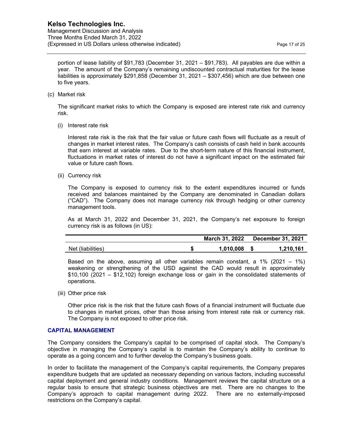portion of lease liability of \$91,783 (December 31, 2021 – \$91,783). All payables are due within a year. The amount of the Company's remaining undiscounted contractual maturities for the lease liabilities is approximately \$291,858 (December 31, 2021 – \$307,456) which are due between one to five years.

(c) Market risk

The significant market risks to which the Company is exposed are interest rate risk and currency risk.

(i) Interest rate risk

Interest rate risk is the risk that the fair value or future cash flows will fluctuate as a result of changes in market interest rates. The Company's cash consists of cash held in bank accounts that earn interest at variable rates. Due to the short-term nature of this financial instrument, fluctuations in market rates of interest do not have a significant impact on the estimated fair value or future cash flows.

(ii) Currency risk

The Company is exposed to currency risk to the extent expenditures incurred or funds received and balances maintained by the Company are denominated in Canadian dollars ("CAD"). The Company does not manage currency risk through hedging or other currency management tools.

As at March 31, 2022 and December 31, 2021, the Company's net exposure to foreign currency risk is as follows (in US):

|                   | March 31, 2022 | <b>December 31, 2021</b> |
|-------------------|----------------|--------------------------|
| Net (liabilities) | 1.010.008      | 1,210,161                |

Based on the above, assuming all other variables remain constant, a 1% (2021 – 1%) weakening or strengthening of the USD against the CAD would result in approximately \$10,100 (2021 – \$12,102) foreign exchange loss or gain in the consolidated statements of operations.

(iii) Other price risk

Other price risk is the risk that the future cash flows of a financial instrument will fluctuate due to changes in market prices, other than those arising from interest rate risk or currency risk. The Company is not exposed to other price risk.

### **CAPITAL MANAGEMENT**

The Company considers the Company's capital to be comprised of capital stock. The Company's objective in managing the Company's capital is to maintain the Company's ability to continue to operate as a going concern and to further develop the Company's business goals.

In order to facilitate the management of the Company's capital requirements, the Company prepares expenditure budgets that are updated as necessary depending on various factors, including successful capital deployment and general industry conditions. Management reviews the capital structure on a regular basis to ensure that strategic business objectives are met. There are no changes to the Company's approach to capital management during 2022. There are no externally-imposed restrictions on the Company's capital.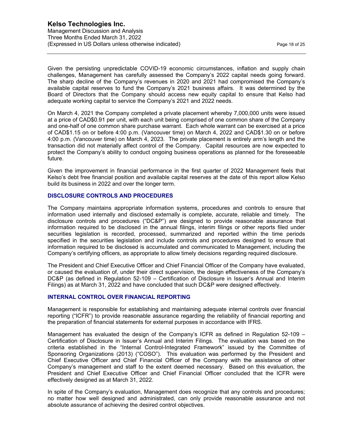Given the persisting unpredictable COVID-19 economic circumstances, inflation and supply chain challenges, Management has carefully assessed the Company's 2022 capital needs going forward. The sharp decline of the Company's revenues in 2020 and 2021 had compromised the Company's available capital reserves to fund the Company's 2021 business affairs. It was determined by the Board of Directors that the Company should access new equity capital to ensure that Kelso had adequate working capital to service the Company's 2021 and 2022 needs.

On March 4, 2021 the Company completed a private placement whereby 7,000,000 units were issued at a price of CAD\$0.91 per unit, with each unit being comprised of one common share of the Company and one-half of one common share purchase warrant. Each whole warrant can be exercised at a price of CAD\$1.15 on or before 4:00 p.m. (Vancouver time) on March 4, 2022 and CAD\$1.30 on or before 4:00 p.m. (Vancouver time) on March 4, 2023. The private placement is entirely arm's length and the transaction did not materially affect control of the Company. Capital resources are now expected to protect the Company's ability to conduct ongoing business operations as planned for the foreseeable future.

Given the improvement in financial performance in the first quarter of 2022 Management feels that Kelso's debt free financial position and available capital reserves at the date of this report allow Kelso build its business in 2022 and over the longer term.

### **DISCLOSURE CONTROLS AND PROCEDURES**

The Company maintains appropriate information systems, procedures and controls to ensure that information used internally and disclosed externally is complete, accurate, reliable and timely. The disclosure controls and procedures ("DC&P") are designed to provide reasonable assurance that information required to be disclosed in the annual filings, interim filings or other reports filed under securities legislation is recorded, processed, summarized and reported within the time periods specified in the securities legislation and include controls and procedures designed to ensure that information required to be disclosed is accumulated and communicated to Management, including the Company's certifying officers, as appropriate to allow timely decisions regarding required disclosure.

The President and Chief Executive Officer and Chief Financial Officer of the Company have evaluated, or caused the evaluation of, under their direct supervision, the design effectiveness of the Company's DC&P (as defined in Regulation 52-109 – Certification of Disclosure in Issuer's Annual and Interim Filings) as at March 31, 2022 and have concluded that such DC&P were designed effectively.

#### **INTERNAL CONTROL OVER FINANCIAL REPORTING**

Management is responsible for establishing and maintaining adequate internal controls over financial reporting ("ICFR") to provide reasonable assurance regarding the reliability of financial reporting and the preparation of financial statements for external purposes in accordance with IFRS.

Management has evaluated the design of the Company's ICFR as defined in Regulation 52-109 – Certification of Disclosure in Issuer's Annual and Interim Filings. The evaluation was based on the criteria established in the "Internal Control-Integrated Framework" issued by the Committee of Sponsoring Organizations (2013) ("COSO"). This evaluation was performed by the President and Chief Executive Officer and Chief Financial Officer of the Company with the assistance of other Company's management and staff to the extent deemed necessary. Based on this evaluation, the President and Chief Executive Officer and Chief Financial Officer concluded that the ICFR were effectively designed as at March 31, 2022.

In spite of the Company's evaluation, Management does recognize that any controls and procedures; no matter how well designed and administrated, can only provide reasonable assurance and not absolute assurance of achieving the desired control objectives.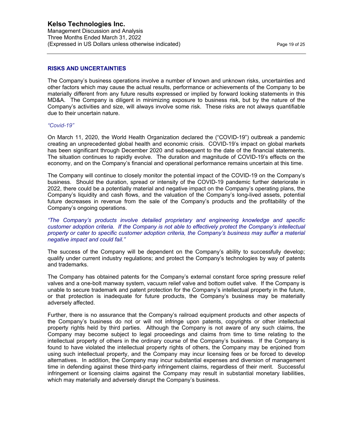#### **RISKS AND UNCERTAINTIES**

The Company's business operations involve a number of known and unknown risks, uncertainties and other factors which may cause the actual results, performance or achievements of the Company to be materially different from any future results expressed or implied by forward looking statements in this MD&A. The Company is diligent in minimizing exposure to business risk, but by the nature of the Company's activities and size, will always involve some risk. These risks are not always quantifiable due to their uncertain nature.

#### *"Covid-19"*

On March 11, 2020, the World Health Organization declared the ("COVID-19") outbreak a pandemic creating an unprecedented global health and economic crisis. COVID-19's impact on global markets has been significant through December 2020 and subsequent to the date of the financial statements. The situation continues to rapidly evolve. The duration and magnitude of COVID-19's effects on the economy, and on the Company's financial and operational performance remains uncertain at this time.

The Company will continue to closely monitor the potential impact of the COVID-19 on the Company's business. Should the duration, spread or intensity of the COVID-19 pandemic further deteriorate in 2022, there could be a potentially material and negative impact on the Company's operating plans, the Company's liquidity and cash flows, and the valuation of the Company's long-lived assets, potential future decreases in revenue from the sale of the Company's products and the profitability of the Company's ongoing operations.

*"The Company's products involve detailed proprietary and engineering knowledge and specific customer adoption criteria. If the Company is not able to effectively protect the Company's intellectual property or cater to specific customer adoption criteria, the Company's business may suffer a material negative impact and could fail."* 

The success of the Company will be dependent on the Company's ability to successfully develop; qualify under current industry regulations; and protect the Company's technologies by way of patents and trademarks.

The Company has obtained patents for the Company's external constant force spring pressure relief valves and a one-bolt manway system, vacuum relief valve and bottom outlet valve. If the Company is unable to secure trademark and patent protection for the Company's intellectual property in the future, or that protection is inadequate for future products, the Company's business may be materially adversely affected.

Further, there is no assurance that the Company's railroad equipment products and other aspects of the Company's business do not or will not infringe upon patents, copyrights or other intellectual property rights held by third parties. Although the Company is not aware of any such claims, the Company may become subject to legal proceedings and claims from time to time relating to the intellectual property of others in the ordinary course of the Company's business. If the Company is found to have violated the intellectual property rights of others, the Company may be enjoined from using such intellectual property, and the Company may incur licensing fees or be forced to develop alternatives. In addition, the Company may incur substantial expenses and diversion of management time in defending against these third-party infringement claims, regardless of their merit. Successful infringement or licensing claims against the Company may result in substantial monetary liabilities, which may materially and adversely disrupt the Company's business.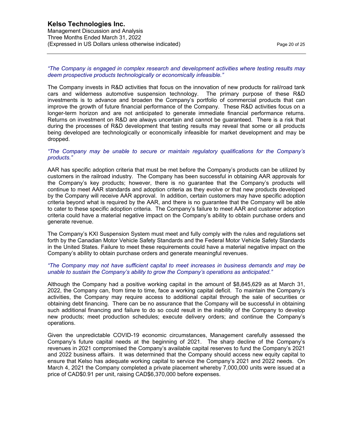#### *"The Company is engaged in complex research and development activities where testing results may deem prospective products technologically or economically infeasible."*

The Company invests in R&D activities that focus on the innovation of new products for rail/road tank cars and wilderness automotive suspension technology. The primary purpose of these R&D investments is to advance and broaden the Company's portfolio of commercial products that can improve the growth of future financial performance of the Company. These R&D activities focus on a longer-term horizon and are not anticipated to generate immediate financial performance returns. Returns on investment on R&D are always uncertain and cannot be guaranteed. There is a risk that during the processes of R&D development that testing results may reveal that some or all products being developed are technologically or economically infeasible for market development and may be dropped.

#### *"The Company may be unable to secure or maintain regulatory qualifications for the Company's products."*

AAR has specific adoption criteria that must be met before the Company's products can be utilized by customers in the railroad industry. The Company has been successful in obtaining AAR approvals for the Company's key products; however, there is no guarantee that the Company's products will continue to meet AAR standards and adoption criteria as they evolve or that new products developed by the Company will receive AAR approval. In addition, certain customers may have specific adoption criteria beyond what is required by the AAR, and there is no guarantee that the Company will be able to cater to these specific adoption criteria. The Company's failure to meet AAR and customer adoption criteria could have a material negative impact on the Company's ability to obtain purchase orders and generate revenue.

The Company's KXI Suspension System must meet and fully comply with the rules and regulations set forth by the Canadian Motor Vehicle Safety Standards and the Federal Motor Vehicle Safety Standards in the United States. Failure to meet these requirements could have a material negative impact on the Company's ability to obtain purchase orders and generate meaningful revenues.

#### *"The Company may not have sufficient capital to meet increases in business demands and may be unable to sustain the Company's ability to grow the Company's operations as anticipated."*

Although the Company had a positive working capital in the amount of \$8,845,629 as at March 31, 2022, the Company can, from time to time, face a working capital deficit. To maintain the Company's activities, the Company may require access to additional capital through the sale of securities or obtaining debt financing. There can be no assurance that the Company will be successful in obtaining such additional financing and failure to do so could result in the inability of the Company to develop new products; meet production schedules; execute delivery orders; and continue the Company's operations.

Given the unpredictable COVID-19 economic circumstances, Management carefully assessed the Company's future capital needs at the beginning of 2021. The sharp decline of the Company's revenues in 2021 compromised the Company's available capital reserves to fund the Company's 2021 and 2022 business affairs. It was determined that the Company should access new equity capital to ensure that Kelso has adequate working capital to service the Company's 2021 and 2022 needs. On March 4, 2021 the Company completed a private placement whereby 7,000,000 units were issued at a price of CAD\$0.91 per unit, raising CAD\$6,370,000 before expenses.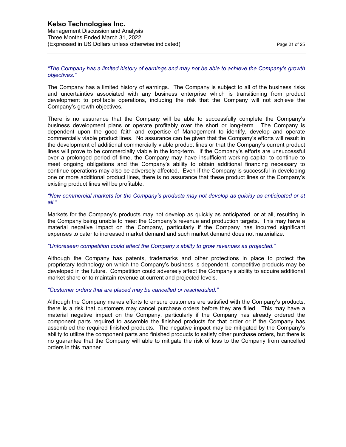#### *"The Company has a limited history of earnings and may not be able to achieve the Company's growth objectives."*

The Company has a limited history of earnings. The Company is subject to all of the business risks and uncertainties associated with any business enterprise which is transitioning from product development to profitable operations, including the risk that the Company will not achieve the Company's growth objectives.

There is no assurance that the Company will be able to successfully complete the Company's business development plans or operate profitably over the short or long-term. The Company is dependent upon the good faith and expertise of Management to identify, develop and operate commercially viable product lines. No assurance can be given that the Company's efforts will result in the development of additional commercially viable product lines or that the Company's current product lines will prove to be commercially viable in the long-term. If the Company's efforts are unsuccessful over a prolonged period of time, the Company may have insufficient working capital to continue to meet ongoing obligations and the Company's ability to obtain additional financing necessary to continue operations may also be adversely affected. Even if the Company is successful in developing one or more additional product lines, there is no assurance that these product lines or the Company's existing product lines will be profitable.

*"New commercial markets for the Company's products may not develop as quickly as anticipated or at all."* 

Markets for the Company's products may not develop as quickly as anticipated, or at all, resulting in the Company being unable to meet the Company's revenue and production targets. This may have a material negative impact on the Company, particularly if the Company has incurred significant expenses to cater to increased market demand and such market demand does not materialize.

#### *"Unforeseen competition could affect the Company's ability to grow revenues as projected."*

Although the Company has patents, trademarks and other protections in place to protect the proprietary technology on which the Company's business is dependent, competitive products may be developed in the future. Competition could adversely affect the Company's ability to acquire additional market share or to maintain revenue at current and projected levels.

#### *"Customer orders that are placed may be cancelled or rescheduled."*

Although the Company makes efforts to ensure customers are satisfied with the Company's products, there is a risk that customers may cancel purchase orders before they are filled. This may have a material negative impact on the Company, particularly if the Company has already ordered the component parts required to assemble the finished products for that order or if the Company has assembled the required finished products. The negative impact may be mitigated by the Company's ability to utilize the component parts and finished products to satisfy other purchase orders, but there is no guarantee that the Company will able to mitigate the risk of loss to the Company from cancelled orders in this manner.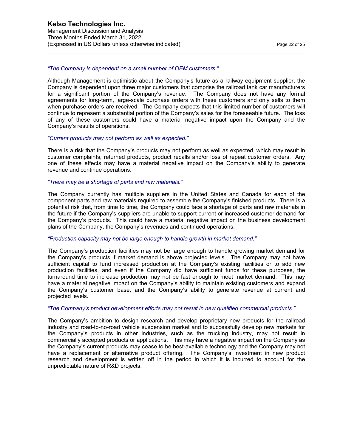### *"The Company is dependent on a small number of OEM customers."*

Although Management is optimistic about the Company's future as a railway equipment supplier, the Company is dependent upon three major customers that comprise the railroad tank car manufacturers for a significant portion of the Company's revenue. The Company does not have any formal agreements for long-term, large-scale purchase orders with these customers and only sells to them when purchase orders are received. The Company expects that this limited number of customers will continue to represent a substantial portion of the Company's sales for the foreseeable future. The loss of any of these customers could have a material negative impact upon the Company and the Company's results of operations.

#### *"Current products may not perform as well as expected."*

There is a risk that the Company's products may not perform as well as expected, which may result in customer complaints, returned products, product recalls and/or loss of repeat customer orders. Any one of these effects may have a material negative impact on the Company's ability to generate revenue and continue operations.

#### *"There may be a shortage of parts and raw materials."*

The Company currently has multiple suppliers in the United States and Canada for each of the component parts and raw materials required to assemble the Company's finished products. There is a potential risk that, from time to time, the Company could face a shortage of parts and raw materials in the future if the Company's suppliers are unable to support current or increased customer demand for the Company's products. This could have a material negative impact on the business development plans of the Company, the Company's revenues and continued operations.

#### *"Production capacity may not be large enough to handle growth in market demand."*

The Company's production facilities may not be large enough to handle growing market demand for the Company's products if market demand is above projected levels. The Company may not have sufficient capital to fund increased production at the Company's existing facilities or to add new production facilities, and even if the Company did have sufficient funds for these purposes, the turnaround time to increase production may not be fast enough to meet market demand. This may have a material negative impact on the Company's ability to maintain existing customers and expand the Company's customer base, and the Company's ability to generate revenue at current and projected levels.

#### *"The Company's product development efforts may not result in new qualified commercial products."*

The Company's ambition to design research and develop proprietary new products for the railroad industry and road-to-no-road vehicle suspension market and to successfully develop new markets for the Company's products in other industries, such as the trucking industry, may not result in commercially accepted products or applications. This may have a negative impact on the Company as the Company's current products may cease to be best-available technology and the Company may not have a replacement or alternative product offering. The Company's investment in new product research and development is written off in the period in which it is incurred to account for the unpredictable nature of R&D projects.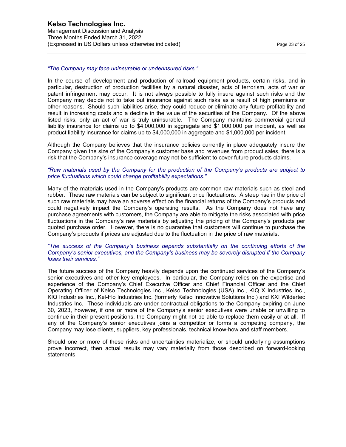#### *"The Company may face uninsurable or underinsured risks."*

In the course of development and production of railroad equipment products, certain risks, and in particular, destruction of production facilities by a natural disaster, acts of terrorism, acts of war or patent infringement may occur. It is not always possible to fully insure against such risks and the Company may decide not to take out insurance against such risks as a result of high premiums or other reasons. Should such liabilities arise, they could reduce or eliminate any future profitability and result in increasing costs and a decline in the value of the securities of the Company. Of the above listed risks, only an act of war is truly uninsurable. The Company maintains commercial general liability insurance for claims up to \$4,000,000 in aggregate and \$1,000,000 per incident, as well as product liability insurance for claims up to \$4,000,000 in aggregate and \$1,000,000 per incident.

Although the Company believes that the insurance policies currently in place adequately insure the Company given the size of the Company's customer base and revenues from product sales, there is a risk that the Company's insurance coverage may not be sufficient to cover future products claims.

#### *"Raw materials used by the Company for the production of the Company's products are subject to price fluctuations which could change profitability expectations."*

Many of the materials used in the Company's products are common raw materials such as steel and rubber. These raw materials can be subject to significant price fluctuations. A steep rise in the price of such raw materials may have an adverse effect on the financial returns of the Company's products and could negatively impact the Company's operating results. As the Company does not have any purchase agreements with customers, the Company are able to mitigate the risks associated with price fluctuations in the Company's raw materials by adjusting the pricing of the Company's products per quoted purchase order. However, there is no guarantee that customers will continue to purchase the Company's products if prices are adjusted due to the fluctuation in the price of raw materials.

#### *"The success of the Company's business depends substantially on the continuing efforts of the Company's senior executives, and the Company's business may be severely disrupted if the Company loses their services."*

The future success of the Company heavily depends upon the continued services of the Company's senior executives and other key employees. In particular, the Company relies on the expertise and experience of the Company's Chief Executive Officer and Chief Financial Officer and the Chief Operating Officer of Kelso Technologies Inc., Kelso Technologies (USA) Inc., KIQ X Industries Inc., KIQ Industries Inc., Kel-Flo Industries Inc. (formerly Kelso Innovative Solutions Inc.) and KXI Wildertec Industries Inc. These individuals are under contractual obligations to the Company expiring on June 30, 2023, however, if one or more of the Company's senior executives were unable or unwilling to continue in their present positions, the Company might not be able to replace them easily or at all. If any of the Company's senior executives joins a competitor or forms a competing company, the Company may lose clients, suppliers, key professionals, technical know-how and staff members.

Should one or more of these risks and uncertainties materialize, or should underlying assumptions prove incorrect, then actual results may vary materially from those described on forward-looking statements.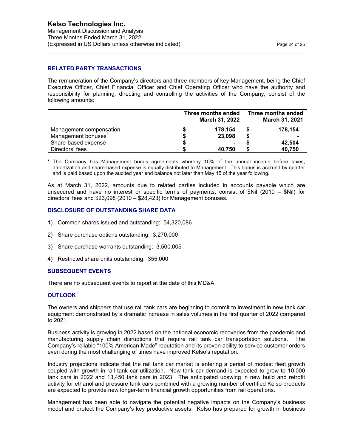## **RELATED PARTY TRANSACTIONS**

The remuneration of the Company's directors and three members of key Management, being the Chief Executive Officer, Chief Financial Officer and Chief Operating Officer who have the authority and responsibility for planning, directing and controlling the activities of the Company, consist of the following amounts:

|                                 | Three months ended<br>March 31, 2022 | Three months ended<br>March 31, 2021 |
|---------------------------------|--------------------------------------|--------------------------------------|
| Management compensation         | 178,154                              | 178,154                              |
| Management bonuses <sup>*</sup> | 23,098                               |                                      |
| Share-based expense             |                                      | 42,504                               |
| Directors' fees                 | 40.750                               | 40.750                               |

\* The Company has Management bonus agreements whereby 10% of the annual income before taxes, amortization and share-based expense is equally distributed to Management. This bonus is accrued by quarter and is paid based upon the audited year end balance not later than May 15 of the year following.

As at March 31, 2022, amounts due to related parties included in accounts payable which are unsecured and have no interest or specific terms of payments, consist of  $Nil$  (2010 –  $Nil$ ) for directors' fees and \$23,098 (2010 – \$28,423) for Management bonuses.

### **DISCLOSURE OF OUTSTANDING SHARE DATA**

- 1) Common shares issued and outstanding: 54,320,086
- 2) Share purchase options outstanding: 3,270,000
- 3) Share purchase warrants outstanding: 3,500,005
- 4) Restricted share units outstanding: 355,000

#### **SUBSEQUENT EVENTS**

There are no subsequent events to report at the date of this MD&A.

#### **OUTLOOK**

The owners and shippers that use rail tank cars are beginning to commit to investment in new tank car equipment demonstrated by a dramatic increase in sales volumes in the first quarter of 2022 compared to 2021.

Business activity is growing in 2022 based on the national economic recoveries from the pandemic and manufacturing supply chain disruptions that require rail tank car transportation solutions. The Company's reliable "100% American-Made" reputation and its proven ability to service customer orders even during the most challenging of times have improved Kelso's reputation.

Industry projections indicate that the rail tank car market is entering a period of modest fleet growth coupled with growth in rail tank car utilization. New tank car demand is expected to grow to 10,000 tank cars in 2022 and 13,450 tank cars in 2023. The anticipated upswing in new build and retrofit activity for ethanol and pressure tank cars combined with a growing number of certified Kelso products are expected to provide new longer-term financial growth opportunities from rail operations.

Management has been able to navigate the potential negative impacts on the Company's business model and protect the Company's key productive assets. Kelso has prepared for growth in business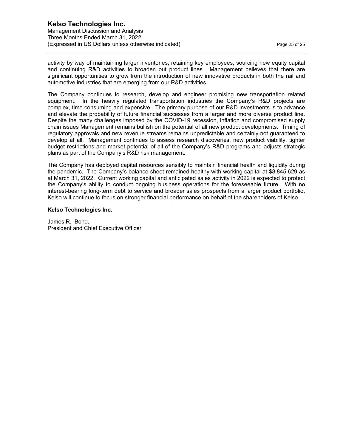activity by way of maintaining larger inventories, retaining key employees, sourcing new equity capital and continuing R&D activities to broaden out product lines. Management believes that there are significant opportunities to grow from the introduction of new innovative products in both the rail and automotive industries that are emerging from our R&D activities.

The Company continues to research, develop and engineer promising new transportation related equipment. In the heavily regulated transportation industries the Company's R&D projects are complex, time consuming and expensive. The primary purpose of our R&D investments is to advance and elevate the probability of future financial successes from a larger and more diverse product line. Despite the many challenges imposed by the COVID-19 recession, inflation and compromised supply chain issues Management remains bullish on the potential of all new product developments. Timing of regulatory approvals and new revenue streams remains unpredictable and certainly not guaranteed to develop at all. Management continues to assess research discoveries, new product viability, tighter budget restrictions and market potential of all of the Company's R&D programs and adjusts strategic plans as part of the Company's R&D risk management.

The Company has deployed capital resources sensibly to maintain financial health and liquidity during the pandemic. The Company's balance sheet remained healthy with working capital at \$8,845,629 as at March 31, 2022. Current working capital and anticipated sales activity in 2022 is expected to protect the Company's ability to conduct ongoing business operations for the foreseeable future. With no interest-bearing long-term debt to service and broader sales prospects from a larger product portfolio, Kelso will continue to focus on stronger financial performance on behalf of the shareholders of Kelso.

#### **Kelso Technologies Inc.**

James R. Bond, President and Chief Executive Officer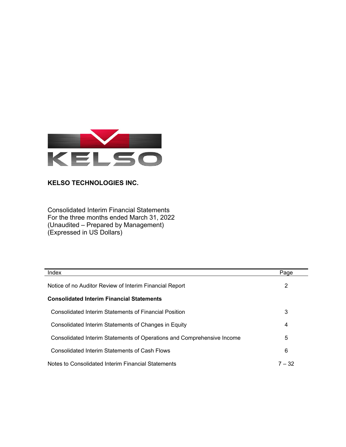

Consolidated Interim Financial Statements For the three months ended March 31, 2022 (Unaudited – Prepared by Management) (Expressed in US Dollars)

| Index                                                                  | Page     |
|------------------------------------------------------------------------|----------|
| Notice of no Auditor Review of Interim Financial Report                | 2        |
| <b>Consolidated Interim Financial Statements</b>                       |          |
| Consolidated Interim Statements of Financial Position                  | 3        |
| Consolidated Interim Statements of Changes in Equity                   | 4        |
| Consolidated Interim Statements of Operations and Comprehensive Income | 5        |
| Consolidated Interim Statements of Cash Flows                          | 6        |
| Notes to Consolidated Interim Financial Statements                     | $7 - 32$ |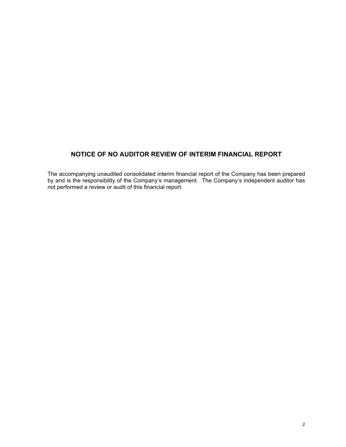# **NOTICE OF NO AUDITOR REVIEW OF INTERIM FINANCIAL REPORT**

The accompanying unaudited consolidated interim financial report of the Company has been prepared by and is the responsibility of the Company's management. The Company's independent auditor has not performed a review or audit of this financial report.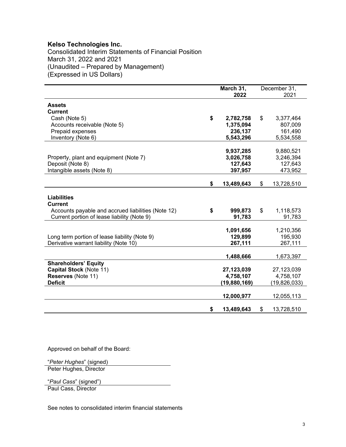Consolidated Interim Statements of Financial Position March 31, 2022 and 2021 (Unaudited – Prepared by Management) (Expressed in US Dollars)

|                                                                                                                                           | March 31, |                   | December 31,              |
|-------------------------------------------------------------------------------------------------------------------------------------------|-----------|-------------------|---------------------------|
|                                                                                                                                           |           | 2022              | 2021                      |
| <b>Assets</b><br><b>Current</b>                                                                                                           |           |                   |                           |
| Cash (Note 5)                                                                                                                             | \$        | 2,782,758         | \$<br>3,377,464           |
| Accounts receivable (Note 5)                                                                                                              |           | 1,375,094         | 807,009                   |
| Prepaid expenses                                                                                                                          |           | 236,137           | 161,490                   |
| Inventory (Note 6)                                                                                                                        |           | 5,543,296         | 5,534,558                 |
|                                                                                                                                           |           |                   |                           |
|                                                                                                                                           |           | 9,937,285         | 9,880,521                 |
| Property, plant and equipment (Note 7)                                                                                                    |           | 3,026,758         | 3,246,394                 |
| Deposit (Note 8)                                                                                                                          |           | 127,643           | 127,643                   |
| Intangible assets (Note 8)                                                                                                                |           | 397,957           | 473,952                   |
|                                                                                                                                           |           |                   |                           |
|                                                                                                                                           | \$        | 13,489,643        | \$<br>13,728,510          |
| <b>Liabilities</b><br><b>Current</b><br>Accounts payable and accrued liabilities (Note 12)<br>Current portion of lease liability (Note 9) | \$        | 999,873<br>91,783 | \$<br>1,118,573<br>91,783 |
|                                                                                                                                           |           |                   |                           |
|                                                                                                                                           |           | 1,091,656         | 1,210,356                 |
| Long term portion of lease liability (Note 9)                                                                                             |           | 129,899           | 195,930                   |
| Derivative warrant liability (Note 10)                                                                                                    |           | 267,111           | 267,111                   |
|                                                                                                                                           |           | 1,488,666         | 1,673,397                 |
| <b>Shareholders' Equity</b>                                                                                                               |           |                   |                           |
| Capital Stock (Note 11)                                                                                                                   |           | 27,123,039        | 27,123,039                |
| Reserves (Note 11)                                                                                                                        |           | 4,758,107         | 4,758,107                 |
| <b>Deficit</b>                                                                                                                            |           | (19,880,169)      | (19, 826, 033)            |
|                                                                                                                                           |           | 12,000,977        | 12,055,113                |
|                                                                                                                                           | \$        | 13,489,643        | \$<br>13,728,510          |

Approved on behalf of the Board:

"*Peter Hughes*" (signed) Peter Hughes, Director

"*Paul Cass*" (signed")

Paul Cass, Director

See notes to consolidated interim financial statements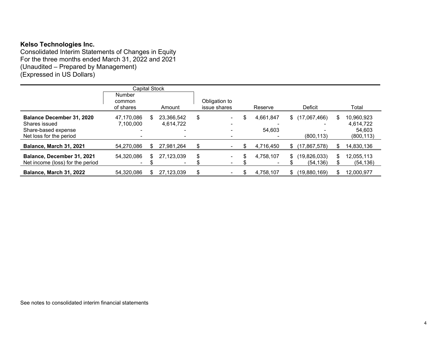Consolidated Interim Statements of Changes in Equity For the three months ended March 31, 2022 and 2021 (Unaudited – Prepared by Management) (Expressed in US Dollars)

|                                  | <b>Capital Stock</b> |     |                          |                          |           |     |                |     |            |
|----------------------------------|----------------------|-----|--------------------------|--------------------------|-----------|-----|----------------|-----|------------|
|                                  | <b>Number</b>        |     |                          |                          |           |     |                |     |            |
|                                  | common               |     |                          | Obligation to            |           |     |                |     |            |
|                                  | of shares            |     | Amount                   | issue shares             | Reserve   |     | <b>Deficit</b> |     | Total      |
| <b>Balance December 31, 2020</b> | 47,170,086           | \$. | 23.366.542               | \$                       | 4,661,847 |     | \$(17,067,466) | S   | 10,960,923 |
| Shares issued                    | 7,100,000            |     | 4,614,722                |                          |           |     |                |     | 4,614,722  |
| Share-based expense              |                      |     |                          |                          | 54.603    |     |                |     | 54.603     |
| Net loss for the period          |                      |     |                          |                          |           |     | (800, 113)     |     | (800, 113) |
| Balance, March 31, 2021          | 54,270,086           |     | 27,981,264               |                          | 4,716,450 | \$  | (17, 867, 578) |     | 14,830,136 |
| Balance, December 31, 2021       | 54,320,086           |     | 27,123,039               | \$                       | 4,758,107 | \$  | (19,826,033)   | \$  | 12,055,113 |
| Net income (loss) for the period | ۰.                   |     | $\overline{\phantom{0}}$ | $\overline{\phantom{a}}$ |           |     | (54,136)       |     | (54,136)   |
| <b>Balance, March 31, 2022</b>   | 54,320,086           |     | 27.123.039               |                          | 4,758,107 | \$. | (19.880.169)   | \$. | 12,000,977 |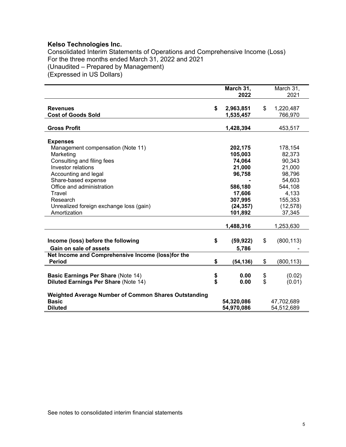Consolidated Interim Statements of Operations and Comprehensive Income (Loss) For the three months ended March 31, 2022 and 2021 (Unaudited – Prepared by Management) (Expressed in US Dollars)

|                                                         | March 31,                    | March 31,                  |
|---------------------------------------------------------|------------------------------|----------------------------|
|                                                         | 2022                         | 2021                       |
| <b>Revenues</b><br><b>Cost of Goods Sold</b>            | \$<br>2,963,851<br>1,535,457 | \$<br>1,220,487<br>766,970 |
|                                                         |                              |                            |
| <b>Gross Profit</b>                                     | 1,428,394                    | 453,517                    |
|                                                         |                              |                            |
| <b>Expenses</b>                                         |                              |                            |
| Management compensation (Note 11)                       | 202,175                      | 178,154                    |
| Marketing                                               | 105,003                      | 82,373                     |
| Consulting and filing fees<br><b>Investor relations</b> | 74,064<br>21,000             | 90,343<br>21,000           |
|                                                         | 96,758                       | 98,796                     |
| Accounting and legal<br>Share-based expense             |                              | 54,603                     |
| Office and administration                               | 586,180                      | 544,108                    |
| Travel                                                  | 17,606                       | 4,133                      |
| Research                                                | 307,995                      | 155,353                    |
| Unrealized foreign exchange loss (gain)                 | (24, 357)                    | (12, 578)                  |
| Amortization                                            | 101,892                      | 37,345                     |
|                                                         |                              |                            |
|                                                         | 1,488,316                    | 1,253,630                  |
|                                                         |                              |                            |
| Income (loss) before the following                      | \$<br>(59, 922)              | \$<br>(800, 113)           |
| Gain on sale of assets                                  | 5,786                        |                            |
| Net Income and Comprehensive Income (loss)for the       |                              |                            |
| <b>Period</b>                                           | \$<br>(54,136)               | \$<br>(800, 113)           |
|                                                         |                              |                            |
| <b>Basic Earnings Per Share (Note 14)</b>               | \$<br>0.00                   | \$<br>(0.02)               |
| <b>Diluted Earnings Per Share (Note 14)</b>             | \$<br>0.00                   | \$<br>(0.01)               |
|                                                         |                              |                            |
| Weighted Average Number of Common Shares Outstanding    |                              |                            |
| <b>Basic</b>                                            | 54,320,086                   | 47,702,689                 |
| <b>Diluted</b>                                          | 54,970,086                   | 54,512,689                 |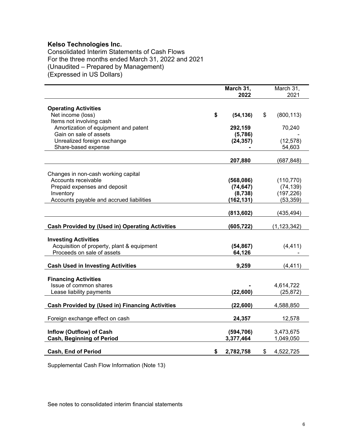Consolidated Interim Statements of Cash Flows For the three months ended March 31, 2022 and 2021 (Unaudited – Prepared by Management) (Expressed in US Dollars)

|                                                        | March 31,<br>2022 | March 31,<br>2021 |
|--------------------------------------------------------|-------------------|-------------------|
| <b>Operating Activities</b>                            |                   |                   |
| Net income (loss)                                      | \$<br>(54, 136)   | \$<br>(800, 113)  |
| Items not involving cash                               |                   |                   |
| Amortization of equipment and patent                   | 292,159           | 70,240            |
| Gain on sale of assets                                 | (5,786)           |                   |
| Unrealized foreign exchange                            | (24, 357)         | (12, 578)         |
| Share-based expense                                    |                   | 54,603            |
|                                                        |                   |                   |
|                                                        | 207,880           | (687, 848)        |
|                                                        |                   |                   |
| Changes in non-cash working capital                    |                   |                   |
| Accounts receivable                                    | (568,086)         | (110, 770)        |
| Prepaid expenses and deposit                           | (74, 647)         | (74, 139)         |
| Inventory                                              | (8,738)           | (197, 226)        |
| Accounts payable and accrued liabilities               | (162, 131)        | (53, 359)         |
|                                                        | (813, 602)        | (435, 494)        |
| <b>Cash Provided by (Used in) Operating Activities</b> | (605, 722)        | (1,123,342)       |
|                                                        |                   |                   |
| <b>Investing Activities</b>                            |                   |                   |
| Acquisition of property, plant & equipment             | (54, 867)         | (4, 411)          |
| Proceeds on sale of assets                             | 64,126            |                   |
| <b>Cash Used in Investing Activities</b>               | 9,259             | (4, 411)          |
|                                                        |                   |                   |
| <b>Financing Activities</b>                            |                   |                   |
| Issue of common shares                                 |                   | 4,614,722         |
| Lease liability payments                               | (22, 600)         | (25, 872)         |
| <b>Cash Provided by (Used in) Financing Activities</b> | (22, 600)         | 4,588,850         |
|                                                        |                   |                   |
| Foreign exchange effect on cash                        | 24,357            | 12,578            |
|                                                        |                   |                   |
| Inflow (Outflow) of Cash                               | (594, 706)        | 3,473,675         |
| <b>Cash, Beginning of Period</b>                       | 3,377,464         | 1,049,050         |
| <b>Cash, End of Period</b>                             | \$<br>2,782,758   | \$<br>4,522,725   |

Supplemental Cash Flow Information (Note 13)

See notes to consolidated interim financial statements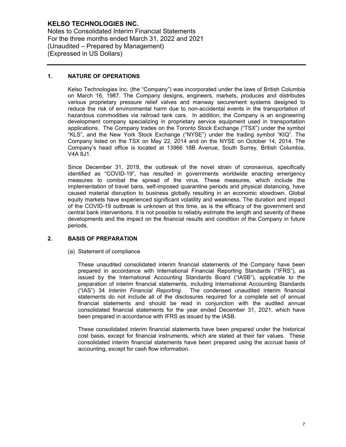Notes to Consolidated Interim Financial Statements For the three months ended March 31, 2022 and 2021 (Unaudited – Prepared by Management) (Expressed in US Dollars)

## **1. NATURE OF OPERATIONS**

Kelso Technologies Inc. (the "Company") was incorporated under the laws of British Columbia on March 16, 1987. The Company designs, engineers, markets, produces and distributes various proprietary pressure relief valves and manway securement systems designed to reduce the risk of environmental harm due to non-accidental events in the transportation of hazardous commodities via railroad tank cars. In addition, the Company is an engineering development company specializing in proprietary service equipment used in transportation applications. The Company trades on the Toronto Stock Exchange ("TSX") under the symbol "KLS", and the New York Stock Exchange ("NYSE") under the trading symbol "KIQ". The Company listed on the TSX on May 22, 2014 and on the NYSE on October 14, 2014. The Company's head office is located at 13966 18B Avenue, South Surrey, British Columbia, V4A 8J1.

Since December 31, 2019, the outbreak of the novel strain of coronavirus, specifically identified as "COVID-19", has resulted in governments worldwide enacting emergency measures to combat the spread of the virus. These measures, which include the implementation of travel bans, self-imposed quarantine periods and physical distancing, have caused material disruption to business globally resulting in an economic slowdown. Global equity markets have experienced significant volatility and weakness. The duration and impact of the COVID-19 outbreak is unknown at this time, as is the efficacy of the government and central bank interventions. It is not possible to reliably estimate the length and severity of these developments and the impact on the financial results and condition of the Company in future periods.

## **2. BASIS OF PREPARATION**

(a) Statement of compliance

These unaudited consolidated interim financial statements of the Company have been prepared in accordance with International Financial Reporting Standards ("IFRS"), as issued by the International Accounting Standards Board ("IASB"), applicable to the preparation of interim financial statements, including International Accounting Standards ("IAS") 34 *Interim Financial Reporting.* The condensed unaudited interim financial statements do not include all of the disclosures required for a complete set of annual financial statements and should be read in conjunction with the audited annual consolidated financial statements for the year ended December 31, 2021, which have been prepared in accordance with IFRS as issued by the IASB.

These consolidated interim financial statements have been prepared under the historical cost basis, except for financial instruments, which are stated at their fair values. These consolidated interim financial statements have been prepared using the accrual basis of accounting, except for cash flow information.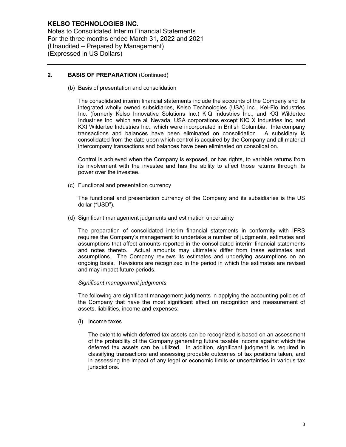Notes to Consolidated Interim Financial Statements For the three months ended March 31, 2022 and 2021 (Unaudited – Prepared by Management) (Expressed in US Dollars)

## **2. BASIS OF PREPARATION** (Continued)

(b) Basis of presentation and consolidation

The consolidated interim financial statements include the accounts of the Company and its integrated wholly owned subsidiaries, Kelso Technologies (USA) Inc., Kel-Flo Industries Inc. (formerly Kelso Innovative Solutions Inc.) KIQ Industries Inc., and KXI Wildertec Industries Inc. which are all Nevada, USA corporations except KIQ X Industries Inc, and KXI Wildertec Industries Inc., which were incorporated in British Columbia. Intercompany transactions and balances have been eliminated on consolidation. A subsidiary is consolidated from the date upon which control is acquired by the Company and all material intercompany transactions and balances have been eliminated on consolidation.

Control is achieved when the Company is exposed, or has rights, to variable returns from its involvement with the investee and has the ability to affect those returns through its power over the investee.

(c) Functional and presentation currency

The functional and presentation currency of the Company and its subsidiaries is the US dollar ("USD").

(d) Significant management judgments and estimation uncertainty

The preparation of consolidated interim financial statements in conformity with IFRS requires the Company's management to undertake a number of judgments, estimates and assumptions that affect amounts reported in the consolidated interim financial statements and notes thereto. Actual amounts may ultimately differ from these estimates and assumptions. The Company reviews its estimates and underlying assumptions on an ongoing basis. Revisions are recognized in the period in which the estimates are revised and may impact future periods.

#### *Significant management judgments*

The following are significant management judgments in applying the accounting policies of the Company that have the most significant effect on recognition and measurement of assets, liabilities, income and expenses:

(i) Income taxes

The extent to which deferred tax assets can be recognized is based on an assessment of the probability of the Company generating future taxable income against which the deferred tax assets can be utilized. In addition, significant judgment is required in classifying transactions and assessing probable outcomes of tax positions taken, and in assessing the impact of any legal or economic limits or uncertainties in various tax jurisdictions.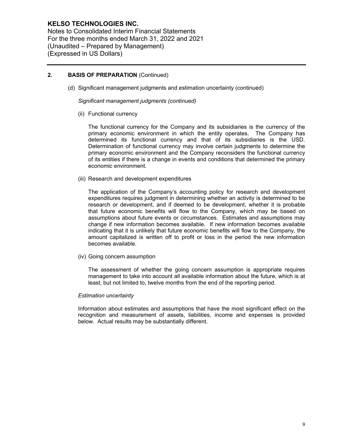Notes to Consolidated Interim Financial Statements For the three months ended March 31, 2022 and 2021 (Unaudited – Prepared by Management) (Expressed in US Dollars)

## **2. BASIS OF PREPARATION** (Continued)

(d) Significant management judgments and estimation uncertainty (continued)

*Significant management judgments (continued)*

(ii) Functional currency

The functional currency for the Company and its subsidiaries is the currency of the primary economic environment in which the entity operates. The Company has determined its functional currency and that of its subsidiaries is the USD. Determination of functional currency may involve certain judgments to determine the primary economic environment and the Company reconsiders the functional currency of its entities if there is a change in events and conditions that determined the primary economic environment.

(iii) Research and development expenditures

The application of the Company's accounting policy for research and development expenditures requires judgment in determining whether an activity is determined to be research or development, and if deemed to be development, whether it is probable that future economic benefits will flow to the Company, which may be based on assumptions about future events or circumstances. Estimates and assumptions may change if new information becomes available. If new information becomes available indicating that it is unlikely that future economic benefits will flow to the Company, the amount capitalized is written off to profit or loss in the period the new information becomes available.

(iv) Going concern assumption

The assessment of whether the going concern assumption is appropriate requires management to take into account all available information about the future, which is at least, but not limited to, twelve months from the end of the reporting period.

#### *Estimation uncertainty*

Information about estimates and assumptions that have the most significant effect on the recognition and measurement of assets, liabilities, income and expenses is provided below. Actual results may be substantially different.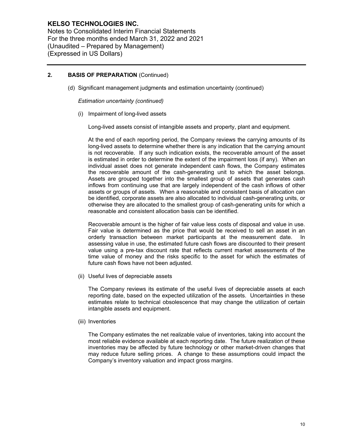Notes to Consolidated Interim Financial Statements For the three months ended March 31, 2022 and 2021 (Unaudited – Prepared by Management) (Expressed in US Dollars)

## **2. BASIS OF PREPARATION** (Continued)

(d) Significant management judgments and estimation uncertainty (continued)

*Estimation uncertainty (continued)*

(i) Impairment of long-lived assets

Long-lived assets consist of intangible assets and property, plant and equipment.

At the end of each reporting period, the Company reviews the carrying amounts of its long-lived assets to determine whether there is any indication that the carrying amount is not recoverable. If any such indication exists, the recoverable amount of the asset is estimated in order to determine the extent of the impairment loss (if any). When an individual asset does not generate independent cash flows, the Company estimates the recoverable amount of the cash-generating unit to which the asset belongs. Assets are grouped together into the smallest group of assets that generates cash inflows from continuing use that are largely independent of the cash inflows of other assets or groups of assets. When a reasonable and consistent basis of allocation can be identified, corporate assets are also allocated to individual cash-generating units, or otherwise they are allocated to the smallest group of cash-generating units for which a reasonable and consistent allocation basis can be identified.

Recoverable amount is the higher of fair value less costs of disposal and value in use. Fair value is determined as the price that would be received to sell an asset in an orderly transaction between market participants at the measurement date. In assessing value in use, the estimated future cash flows are discounted to their present value using a pre-tax discount rate that reflects current market assessments of the time value of money and the risks specific to the asset for which the estimates of future cash flows have not been adjusted.

(ii) Useful lives of depreciable assets

The Company reviews its estimate of the useful lives of depreciable assets at each reporting date, based on the expected utilization of the assets. Uncertainties in these estimates relate to technical obsolescence that may change the utilization of certain intangible assets and equipment.

(iii) Inventories

The Company estimates the net realizable value of inventories, taking into account the most reliable evidence available at each reporting date. The future realization of these inventories may be affected by future technology or other market-driven changes that may reduce future selling prices. A change to these assumptions could impact the Company's inventory valuation and impact gross margins.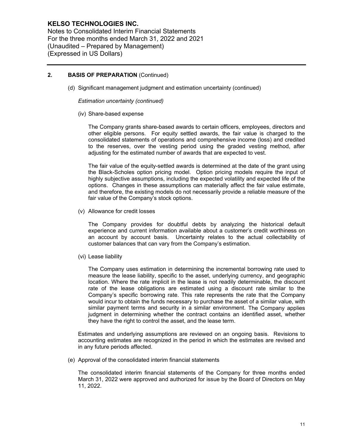Notes to Consolidated Interim Financial Statements For the three months ended March 31, 2022 and 2021 (Unaudited – Prepared by Management) (Expressed in US Dollars)

## **2. BASIS OF PREPARATION** (Continued)

(d) Significant management judgment and estimation uncertainty (continued)

*Estimation uncertainty (continued)*

(iv) Share-based expense

The Company grants share-based awards to certain officers, employees, directors and other eligible persons. For equity settled awards, the fair value is charged to the consolidated statements of operations and comprehensive income (loss) and credited to the reserves, over the vesting period using the graded vesting method, after adjusting for the estimated number of awards that are expected to vest.

The fair value of the equity-settled awards is determined at the date of the grant using the Black-Scholes option pricing model. Option pricing models require the input of highly subjective assumptions, including the expected volatility and expected life of the options. Changes in these assumptions can materially affect the fair value estimate, and therefore, the existing models do not necessarily provide a reliable measure of the fair value of the Company's stock options.

(v) Allowance for credit losses

The Company provides for doubtful debts by analyzing the historical default experience and current information available about a customer's credit worthiness on an account by account basis. Uncertainty relates to the actual collectability of customer balances that can vary from the Company's estimation.

(vi) Lease liability

The Company uses estimation in determining the incremental borrowing rate used to measure the lease liability, specific to the asset, underlying currency, and geographic location. Where the rate implicit in the lease is not readily determinable, the discount rate of the lease obligations are estimated using a discount rate similar to the Company's specific borrowing rate. This rate represents the rate that the Company would incur to obtain the funds necessary to purchase the asset of a similar value, with similar payment terms and security in a similar environment. The Company applies judgment in determining whether the contract contains an identified asset, whether they have the right to control the asset, and the lease term.

Estimates and underlying assumptions are reviewed on an ongoing basis. Revisions to accounting estimates are recognized in the period in which the estimates are revised and in any future periods affected.

(e) Approval of the consolidated interim financial statements

The consolidated interim financial statements of the Company for three months ended March 31, 2022 were approved and authorized for issue by the Board of Directors on May 11, 2022.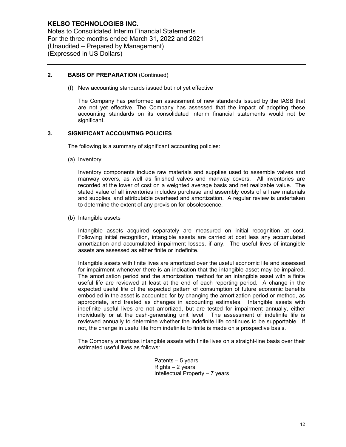Notes to Consolidated Interim Financial Statements For the three months ended March 31, 2022 and 2021 (Unaudited – Prepared by Management) (Expressed in US Dollars)

## **2. BASIS OF PREPARATION** (Continued)

(f) New accounting standards issued but not yet effective

The Company has performed an assessment of new standards issued by the IASB that are not yet effective. The Company has assessed that the impact of adopting these accounting standards on its consolidated interim financial statements would not be significant.

## **3. SIGNIFICANT ACCOUNTING POLICIES**

The following is a summary of significant accounting policies:

(a) Inventory

Inventory components include raw materials and supplies used to assemble valves and manway covers, as well as finished valves and manway covers. All inventories are recorded at the lower of cost on a weighted average basis and net realizable value. The stated value of all inventories includes purchase and assembly costs of all raw materials and supplies, and attributable overhead and amortization. A regular review is undertaken to determine the extent of any provision for obsolescence.

(b) Intangible assets

Intangible assets acquired separately are measured on initial recognition at cost. Following initial recognition, intangible assets are carried at cost less any accumulated amortization and accumulated impairment losses, if any. The useful lives of intangible assets are assessed as either finite or indefinite.

Intangible assets with finite lives are amortized over the useful economic life and assessed for impairment whenever there is an indication that the intangible asset may be impaired. The amortization period and the amortization method for an intangible asset with a finite useful life are reviewed at least at the end of each reporting period. A change in the expected useful life of the expected pattern of consumption of future economic benefits embodied in the asset is accounted for by changing the amortization period or method, as appropriate, and treated as changes in accounting estimates. Intangible assets with indefinite useful lives are not amortized, but are tested for impairment annually, either individually or at the cash-generating unit level. The assessment of indefinite life is reviewed annually to determine whether the indefinite life continues to be supportable. If not, the change in useful life from indefinite to finite is made on a prospective basis.

The Company amortizes intangible assets with finite lives on a straight-line basis over their estimated useful lives as follows:

> Patents – 5 years Rights – 2 years Intellectual Property – 7 years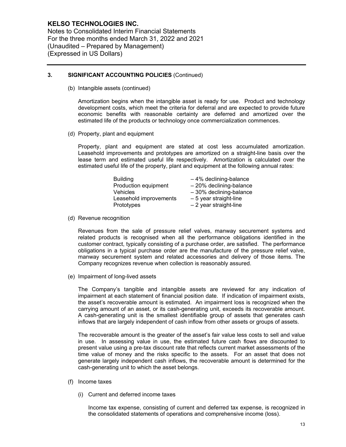Notes to Consolidated Interim Financial Statements For the three months ended March 31, 2022 and 2021 (Unaudited – Prepared by Management) (Expressed in US Dollars)

## **3. SIGNIFICANT ACCOUNTING POLICIES** (Continued)

(b) Intangible assets (continued)

Amortization begins when the intangible asset is ready for use. Product and technology development costs, which meet the criteria for deferral and are expected to provide future economic benefits with reasonable certainty are deferred and amortized over the estimated life of the products or technology once commercialization commences.

(d) Property, plant and equipment

Property, plant and equipment are stated at cost less accumulated amortization. Leasehold improvements and prototypes are amortized on a straight-line basis over the lease term and estimated useful life respectively. Amortization is calculated over the estimated useful life of the property, plant and equipment at the following annual rates:

| <b>Building</b>        | $-4\%$ declining-balance  |
|------------------------|---------------------------|
| Production equipment   | $-20\%$ declining-balance |
| <b>Vehicles</b>        | $-30\%$ declining-balance |
| Leasehold improvements | - 5 year straight-line    |
| Prototypes             | - 2 year straight-line    |

(d) Revenue recognition

Revenues from the sale of pressure relief valves, manway securement systems and related products is recognised when all the performance obligations identified in the customer contract, typically consisting of a purchase order, are satisfied. The performance obligations in a typical purchase order are the manufacture of the pressure relief valve, manway securement system and related accessories and delivery of those items. The Company recognizes revenue when collection is reasonably assured.

(e) Impairment of long-lived assets

The Company's tangible and intangible assets are reviewed for any indication of impairment at each statement of financial position date. If indication of impairment exists, the asset's recoverable amount is estimated. An impairment loss is recognized when the carrying amount of an asset, or its cash-generating unit, exceeds its recoverable amount. A cash-generating unit is the smallest identifiable group of assets that generates cash inflows that are largely independent of cash inflow from other assets or groups of assets.

The recoverable amount is the greater of the asset's fair value less costs to sell and value in use. In assessing value in use, the estimated future cash flows are discounted to present value using a pre-tax discount rate that reflects current market assessments of the time value of money and the risks specific to the assets. For an asset that does not generate largely independent cash inflows, the recoverable amount is determined for the cash-generating unit to which the asset belongs.

- (f) Income taxes
	- (i) Current and deferred income taxes

Income tax expense, consisting of current and deferred tax expense, is recognized in the consolidated statements of operations and comprehensive income (loss).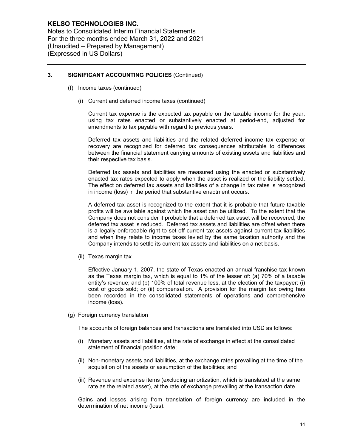Notes to Consolidated Interim Financial Statements For the three months ended March 31, 2022 and 2021 (Unaudited – Prepared by Management) (Expressed in US Dollars)

## **3. SIGNIFICANT ACCOUNTING POLICIES** (Continued)

- (f) Income taxes (continued)
	- (i) Current and deferred income taxes (continued)

Current tax expense is the expected tax payable on the taxable income for the year, using tax rates enacted or substantively enacted at period-end, adjusted for amendments to tax payable with regard to previous years.

Deferred tax assets and liabilities and the related deferred income tax expense or recovery are recognized for deferred tax consequences attributable to differences between the financial statement carrying amounts of existing assets and liabilities and their respective tax basis.

Deferred tax assets and liabilities are measured using the enacted or substantively enacted tax rates expected to apply when the asset is realized or the liability settled. The effect on deferred tax assets and liabilities of a change in tax rates is recognized in income (loss) in the period that substantive enactment occurs.

A deferred tax asset is recognized to the extent that it is probable that future taxable profits will be available against which the asset can be utilized. To the extent that the Company does not consider it probable that a deferred tax asset will be recovered, the deferred tax asset is reduced. Deferred tax assets and liabilities are offset when there is a legally enforceable right to set off current tax assets against current tax liabilities and when they relate to income taxes levied by the same taxation authority and the Company intends to settle its current tax assets and liabilities on a net basis.

(ii) Texas margin tax

Effective January 1, 2007, the state of Texas enacted an annual franchise tax known as the Texas margin tax, which is equal to 1% of the lesser of: (a) 70% of a taxable entity's revenue; and (b) 100% of total revenue less, at the election of the taxpayer: (i) cost of goods sold; or (ii) compensation. A provision for the margin tax owing has been recorded in the consolidated statements of operations and comprehensive income (loss).

(g) Foreign currency translation

The accounts of foreign balances and transactions are translated into USD as follows:

- (i) Monetary assets and liabilities, at the rate of exchange in effect at the consolidated statement of financial position date;
- (ii) Non-monetary assets and liabilities, at the exchange rates prevailing at the time of the acquisition of the assets or assumption of the liabilities; and
- (iii) Revenue and expense items (excluding amortization, which is translated at the same rate as the related asset), at the rate of exchange prevailing at the transaction date.

Gains and losses arising from translation of foreign currency are included in the determination of net income (loss).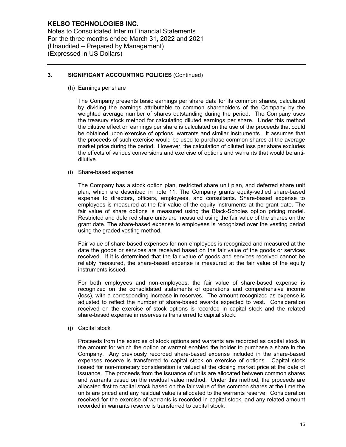Notes to Consolidated Interim Financial Statements For the three months ended March 31, 2022 and 2021 (Unaudited – Prepared by Management) (Expressed in US Dollars)

## **3. SIGNIFICANT ACCOUNTING POLICIES** (Continued)

(h) Earnings per share

The Company presents basic earnings per share data for its common shares, calculated by dividing the earnings attributable to common shareholders of the Company by the weighted average number of shares outstanding during the period. The Company uses the treasury stock method for calculating diluted earnings per share. Under this method the dilutive effect on earnings per share is calculated on the use of the proceeds that could be obtained upon exercise of options, warrants and similar instruments. It assumes that the proceeds of such exercise would be used to purchase common shares at the average market price during the period. However, the calculation of diluted loss per share excludes the effects of various conversions and exercise of options and warrants that would be antidilutive.

#### (i) Share-based expense

The Company has a stock option plan, restricted share unit plan, and deferred share unit plan, which are described in note 11. The Company grants equity-settled share-based expense to directors, officers, employees, and consultants. Share-based expense to employees is measured at the fair value of the equity instruments at the grant date. The fair value of share options is measured using the Black-Scholes option pricing model. Restricted and deferred share units are measured using the fair value of the shares on the grant date. The share-based expense to employees is recognized over the vesting period using the graded vesting method.

Fair value of share-based expenses for non-employees is recognized and measured at the date the goods or services are received based on the fair value of the goods or services received. If it is determined that the fair value of goods and services received cannot be reliably measured, the share-based expense is measured at the fair value of the equity instruments issued.

For both employees and non-employees, the fair value of share-based expense is recognized on the consolidated statements of operations and comprehensive income (loss), with a corresponding increase in reserves. The amount recognized as expense is adjusted to reflect the number of share-based awards expected to vest. Consideration received on the exercise of stock options is recorded in capital stock and the related share-based expense in reserves is transferred to capital stock.

(j) Capital stock

Proceeds from the exercise of stock options and warrants are recorded as capital stock in the amount for which the option or warrant enabled the holder to purchase a share in the Company. Any previously recorded share-based expense included in the share-based expenses reserve is transferred to capital stock on exercise of options. Capital stock issued for non-monetary consideration is valued at the closing market price at the date of issuance. The proceeds from the issuance of units are allocated between common shares and warrants based on the residual value method. Under this method, the proceeds are allocated first to capital stock based on the fair value of the common shares at the time the units are priced and any residual value is allocated to the warrants reserve. Consideration received for the exercise of warrants is recorded in capital stock, and any related amount recorded in warrants reserve is transferred to capital stock.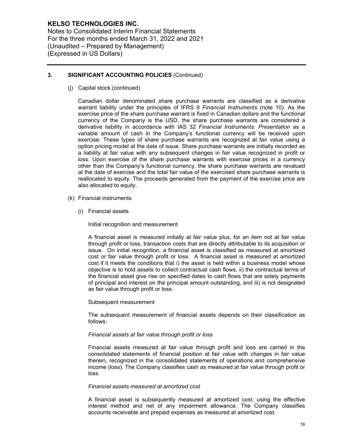Notes to Consolidated Interim Financial Statements For the three months ended March 31, 2022 and 2021 (Unaudited – Prepared by Management) (Expressed in US Dollars)

## **3. SIGNIFICANT ACCOUNTING POLICIES** (Continued)

(j) Capital stock (continued)

Canadian dollar denominated share purchase warrants are classified as a derivative warrant liability under the principles of IFRS 9 *Financial Instruments* (note 10). As the exercise price of the share purchase warrant is fixed in Canadian dollars and the functional currency of the Company is the USD, the share purchase warrants are considered a derivative liability in accordance with IAS 32 *Financial Instruments: Presentation* as a variable amount of cash in the Company's functional currency will be received upon exercise. These types of share purchase warrants are recognized at fair value using a option pricing model at the date of issue. Share purchase warrants are initially recorded as a liability at fair value with any subsequent changes in fair value recognized in profit or loss. Upon exercise of the share purchase warrants with exercise prices in a currency other than the Company's functional currency, the share purchase warrants are revalued at the date of exercise and the total fair value of the exercised share purchase warrants is reallocated to equity. The proceeds generated from the payment of the exercise price are also allocated to equity.

- (k) Financial instruments
	- (i) Financial assets

Initial recognition and measurement

A financial asset is measured initially at fair value plus, for an item not at fair value through profit or loss, transaction costs that are directly attributable to its acquisition or issue. On initial recognition, a financial asset is classified as measured at amortized cost or fair value through profit or loss. A financial asset is measured at amortized cost if it meets the conditions that i) the asset is held within a business model whose objective is to hold assets to collect contractual cash flows, ii) the contractual terms of the financial asset give rise on specified dates to cash flows that are solely payments of principal and interest on the principal amount outstanding, and iii) is not designated as fair value through profit or loss.

### Subsequent measurement

The subsequent measurement of financial assets depends on their classification as follows:

### *Financial assets at fair value through profit or loss*

Financial assets measured at fair value through profit and loss are carried in the consolidated statements of financial position at fair value with changes in fair value therein, recognized in the consolidated statements of operations and comprehensive income (loss). The Company classifies cash as measured at fair value through profit or loss.

### *Financial assets measured at amortized cost*

A financial asset is subsequently measured at amortized cost, using the effective interest method and net of any impairment allowance. The Company classifies accounts receivable and prepaid expenses as measured at amortized cost.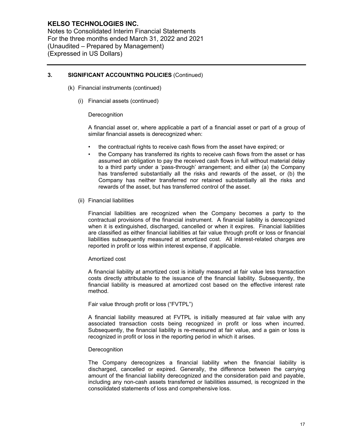Notes to Consolidated Interim Financial Statements For the three months ended March 31, 2022 and 2021 (Unaudited – Prepared by Management) (Expressed in US Dollars)

## **3. SIGNIFICANT ACCOUNTING POLICIES** (Continued)

- (k) Financial instruments (continued)
	- (i) Financial assets (continued)

### **Derecognition**

A financial asset or, where applicable a part of a financial asset or part of a group of similar financial assets is derecognized when:

- the contractual rights to receive cash flows from the asset have expired; or
- the Company has transferred its rights to receive cash flows from the asset or has assumed an obligation to pay the received cash flows in full without material delay to a third party under a 'pass-through' arrangement; and either (a) the Company has transferred substantially all the risks and rewards of the asset, or (b) the Company has neither transferred nor retained substantially all the risks and rewards of the asset, but has transferred control of the asset.
- (ii) Financial liabilities

Financial liabilities are recognized when the Company becomes a party to the contractual provisions of the financial instrument. A financial liability is derecognized when it is extinguished, discharged, cancelled or when it expires. Financial liabilities are classified as either financial liabilities at fair value through profit or loss or financial liabilities subsequently measured at amortized cost. All interest-related charges are reported in profit or loss within interest expense, if applicable.

#### Amortized cost

A financial liability at amortized cost is initially measured at fair value less transaction costs directly attributable to the issuance of the financial liability. Subsequently, the financial liability is measured at amortized cost based on the effective interest rate method.

Fair value through profit or loss ("FVTPL")

A financial liability measured at FVTPL is initially measured at fair value with any associated transaction costs being recognized in profit or loss when incurred. Subsequently, the financial liability is re-measured at fair value, and a gain or loss is recognized in profit or loss in the reporting period in which it arises.

### **Derecognition**

The Company derecognizes a financial liability when the financial liability is discharged, cancelled or expired. Generally, the difference between the carrying amount of the financial liability derecognized and the consideration paid and payable, including any non-cash assets transferred or liabilities assumed, is recognized in the consolidated statements of loss and comprehensive loss.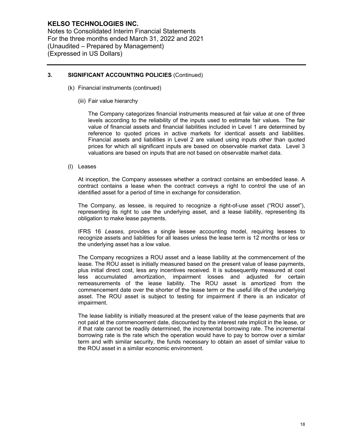Notes to Consolidated Interim Financial Statements For the three months ended March 31, 2022 and 2021 (Unaudited – Prepared by Management) (Expressed in US Dollars)

## **3. SIGNIFICANT ACCOUNTING POLICIES** (Continued)

- (k) Financial instruments (continued)
	- (iii) Fair value hierarchy

The Company categorizes financial instruments measured at fair value at one of three levels according to the reliability of the inputs used to estimate fair values. The fair value of financial assets and financial liabilities included in Level 1 are determined by reference to quoted prices in active markets for identical assets and liabilities. Financial assets and liabilities in Level 2 are valued using inputs other than quoted prices for which all significant inputs are based on observable market data. Level 3 valuations are based on inputs that are not based on observable market data.

(l) Leases

At inception, the Company assesses whether a contract contains an embedded lease. A contract contains a lease when the contract conveys a right to control the use of an identified asset for a period of time in exchange for consideration.

The Company, as lessee, is required to recognize a right-of-use asset ("ROU asset"), representing its right to use the underlying asset, and a lease liability, representing its obligation to make lease payments.

IFRS 16 *Leases*, provides a single lessee accounting model, requiring lessees to recognize assets and liabilities for all leases unless the lease term is 12 months or less or the underlying asset has a low value.

The Company recognizes a ROU asset and a lease liability at the commencement of the lease. The ROU asset is initially measured based on the present value of lease payments, plus initial direct cost, less any incentives received. It is subsequently measured at cost less accumulated amortization, impairment losses and adjusted for certain remeasurements of the lease liability. The ROU asset is amortized from the commencement date over the shorter of the lease term or the useful life of the underlying asset. The ROU asset is subject to testing for impairment if there is an indicator of impairment.

The lease liability is initially measured at the present value of the lease payments that are not paid at the commencement date, discounted by the interest rate implicit in the lease, or if that rate cannot be readily determined, the incremental borrowing rate. The incremental borrowing rate is the rate which the operation would have to pay to borrow over a similar term and with similar security, the funds necessary to obtain an asset of similar value to the ROU asset in a similar economic environment.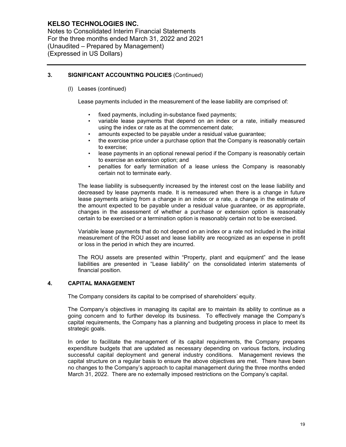Notes to Consolidated Interim Financial Statements For the three months ended March 31, 2022 and 2021 (Unaudited – Prepared by Management) (Expressed in US Dollars)

## **3. SIGNIFICANT ACCOUNTING POLICIES** (Continued)

(l) Leases (continued)

Lease payments included in the measurement of the lease liability are comprised of:

- fixed payments, including in-substance fixed payments;
- variable lease payments that depend on an index or a rate, initially measured using the index or rate as at the commencement date;
- amounts expected to be payable under a residual value quarantee;
- the exercise price under a purchase option that the Company is reasonably certain to exercise;
- lease payments in an optional renewal period if the Company is reasonably certain to exercise an extension option; and
- penalties for early termination of a lease unless the Company is reasonably certain not to terminate early.

The lease liability is subsequently increased by the interest cost on the lease liability and decreased by lease payments made. It is remeasured when there is a change in future lease payments arising from a change in an index or a rate, a change in the estimate of the amount expected to be payable under a residual value guarantee, or as appropriate, changes in the assessment of whether a purchase or extension option is reasonably certain to be exercised or a termination option is reasonably certain not to be exercised.

Variable lease payments that do not depend on an index or a rate not included in the initial measurement of the ROU asset and lease liability are recognized as an expense in profit or loss in the period in which they are incurred.

The ROU assets are presented within "Property, plant and equipment" and the lease liabilities are presented in "Lease liability" on the consolidated interim statements of financial position.

## **4. CAPITAL MANAGEMENT**

The Company considers its capital to be comprised of shareholders' equity.

The Company's objectives in managing its capital are to maintain its ability to continue as a going concern and to further develop its business. To effectively manage the Company's capital requirements, the Company has a planning and budgeting process in place to meet its strategic goals.

In order to facilitate the management of its capital requirements, the Company prepares expenditure budgets that are updated as necessary depending on various factors, including successful capital deployment and general industry conditions. Management reviews the capital structure on a regular basis to ensure the above objectives are met. There have been no changes to the Company's approach to capital management during the three months ended March 31, 2022. There are no externally imposed restrictions on the Company's capital.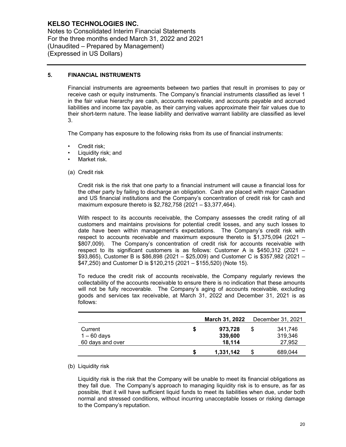Notes to Consolidated Interim Financial Statements For the three months ended March 31, 2022 and 2021 (Unaudited – Prepared by Management) (Expressed in US Dollars)

## **5. FINANCIAL INSTRUMENTS**

Financial instruments are agreements between two parties that result in promises to pay or receive cash or equity instruments. The Company's financial instruments classified as level 1 in the fair value hierarchy are cash, accounts receivable, and accounts payable and accrued liabilities and income tax payable, as their carrying values approximate their fair values due to their short-term nature. The lease liability and derivative warrant liability are classified as level 3.

The Company has exposure to the following risks from its use of financial instruments:

- Credit risk:
- Liquidity risk; and
- Market risk.
- (a) Credit risk

Credit risk is the risk that one party to a financial instrument will cause a financial loss for the other party by failing to discharge an obligation. Cash are placed with major Canadian and US financial institutions and the Company's concentration of credit risk for cash and maximum exposure thereto is \$2,782,758 (2021 – \$3,377,464).

With respect to its accounts receivable, the Company assesses the credit rating of all customers and maintains provisions for potential credit losses, and any such losses to date have been within management's expectations. The Company's credit risk with respect to accounts receivable and maximum exposure thereto is \$1,375,094 (2021 – \$807,009). The Company's concentration of credit risk for accounts receivable with respect to its significant customers is as follows: Customer A is \$450,312 (2021 – \$93,865), Customer B is \$86,898 (2021 – \$25,009) and Customer C is \$357,982 (2021 – \$47,250) and Customer D is \$120,215 (2021 – \$155,520) (Note 15).

To reduce the credit risk of accounts receivable, the Company regularly reviews the collectability of the accounts receivable to ensure there is no indication that these amounts will not be fully recoverable. The Company's aging of accounts receivable, excluding goods and services tax receivable, at March 31, 2022 and December 31, 2021 is as follows:

|                  |    | <b>March 31, 2022</b> |   | December 31, 2021 |
|------------------|----|-----------------------|---|-------------------|
| Current          | \$ | 973,728               | S | 341.746           |
| $1 - 60$ days    |    | 339,600               |   | 319,346           |
| 60 days and over |    | 18,114                |   | 27,952            |
|                  | S  | 1,331,142             |   | 689,044           |

### (b) Liquidity risk

Liquidity risk is the risk that the Company will be unable to meet its financial obligations as they fall due. The Company's approach to managing liquidity risk is to ensure, as far as possible, that it will have sufficient liquid funds to meet its liabilities when due, under both normal and stressed conditions, without incurring unacceptable losses or risking damage to the Company's reputation.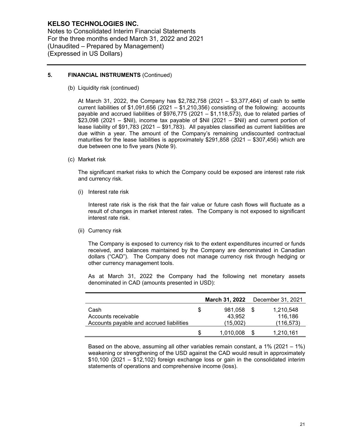Notes to Consolidated Interim Financial Statements For the three months ended March 31, 2022 and 2021 (Unaudited – Prepared by Management) (Expressed in US Dollars)

## **5. FINANCIAL INSTRUMENTS** (Continued)

(b) Liquidity risk (continued)

At March 31, 2022, the Company has \$2,782,758 (2021 – \$3,377,464) of cash to settle current liabilities of \$1,091,656 (2021 – \$1,210,356) consisting of the following: accounts payable and accrued liabilities of \$976,775 (2021 – \$1,118,573), due to related parties of \$23,098 (2021 – \$Nil), income tax payable of \$Nil (2021 – \$Nil) and current portion of lease liability of \$91,783 (2021 – \$91,783). All payables classified as current liabilities are due within a year. The amount of the Company's remaining undiscounted contractual maturities for the lease liabilities is approximately \$291,858 (2021 – \$307,456) which are due between one to five years (Note 9).

(c) Market risk

The significant market risks to which the Company could be exposed are interest rate risk and currency risk.

(i) Interest rate risk

Interest rate risk is the risk that the fair value or future cash flows will fluctuate as a result of changes in market interest rates. The Company is not exposed to significant interest rate risk.

(ii) Currency risk

The Company is exposed to currency risk to the extent expenditures incurred or funds received, and balances maintained by the Company are denominated in Canadian dollars ("CAD"). The Company does not manage currency risk through hedging or other currency management tools.

As at March 31, 2022 the Company had the following net monetary assets denominated in CAD (amounts presented in USD):

|                                          |   | March 31, 2022 | December 31, 2021 |
|------------------------------------------|---|----------------|-------------------|
| Cash                                     | S | 981.058        | 1,210,548         |
| Accounts receivable                      |   | 43.952         | 116.186           |
| Accounts payable and accrued liabilities |   | (15,002)       | (116, 573)        |
|                                          |   | 1.010.008      | 1,210,161         |

Based on the above, assuming all other variables remain constant, a 1% (2021 – 1%) weakening or strengthening of the USD against the CAD would result in approximately \$10,100 (2021 – \$12,102) foreign exchange loss or gain in the consolidated interim statements of operations and comprehensive income (loss).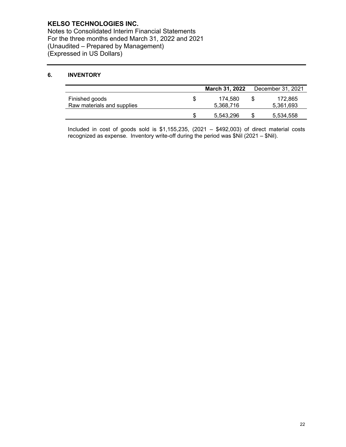Notes to Consolidated Interim Financial Statements For the three months ended March 31, 2022 and 2021 (Unaudited – Prepared by Management) (Expressed in US Dollars)

# **6. INVENTORY**

|                                              |   | <b>March 31, 2022</b> |    | December 31, 2021    |
|----------------------------------------------|---|-----------------------|----|----------------------|
| Finished goods<br>Raw materials and supplies | S | 174.580<br>5,368,716  | \$ | 172.865<br>5,361,693 |
|                                              |   | 5.543.296             | S  | 5,534,558            |

Included in cost of goods sold is  $$1,155,235, (2021 - $492,003)$  of direct material costs recognized as expense. Inventory write-off during the period was \$Nil (2021 – \$Nil).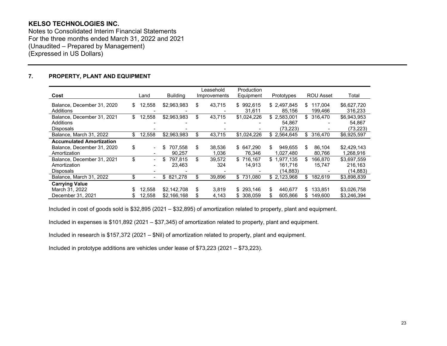Notes to Consolidated Interim Financial Statements For the three months ended March 31, 2022 and 2021 (Unaudited – Prepared by Management) (Expressed in US Dollars)

## **7. PROPERTY, PLANT AND EQUIPMENT**

|                                                             |                                |                 | Leasehold    | Production          |                                    |                           |                                   |
|-------------------------------------------------------------|--------------------------------|-----------------|--------------|---------------------|------------------------------------|---------------------------|-----------------------------------|
| Cost                                                        | Land                           | <b>Building</b> | Improvements | Equipment           | Prototypes                         | <b>ROU Asset</b>          | Total                             |
| Balance, December 31, 2020<br>Additions                     | \$<br>12,558                   | \$2,963,983     | \$<br>43,715 | \$992,615<br>31,611 | \$2,497,845<br>85,156              | 117.004<br>\$.<br>199,466 | \$6,627,720<br>316,233            |
| Balance, December 31, 2021<br>Additions<br><b>Disposals</b> | \$<br>12,558                   | \$2,963,983     | \$<br>43,715 | \$1,024,226         | \$2,583,001<br>54,867<br>(73, 223) | \$<br>316,470             | \$6,943,953<br>54,867<br>(73,223) |
| Balance, March 31, 2022                                     | \$<br>12,558                   | \$2,963,983     | \$<br>43,715 | \$1,024,226         | \$2,564,645                        | 316.470<br>\$             | \$6,925,597                       |
| <b>Accumulated Amortization</b>                             |                                |                 |              |                     |                                    |                           |                                   |
| Balance, December 31, 2020                                  | \$<br>$\overline{\phantom{a}}$ | 707.558<br>S    | \$<br>38.536 | \$ 647.290          | \$<br>949.655                      | 86.104<br>\$.             | \$2,429,143                       |
| Amortization                                                |                                | 90,257          | 1.036        | 76,346              | 1.027.480                          | 80,766                    | 1,268,916                         |
| Balance, December 31, 2021                                  | \$                             | 797,815         | \$<br>39,572 | \$716,167           | \$<br>1,977,135                    | \$<br>166,870             | \$3,697,559                       |
| Amortization                                                |                                | 23,463          | 324          | 14.913              | 161,716                            | 15,747                    | 216,163                           |
| Disposals                                                   |                                |                 |              |                     | (14,883)                           |                           | (14,883)                          |
| Balance, March 31, 2022                                     | \$                             | \$821,278       | \$<br>39,896 | \$731.080           | \$2,123,968                        | 182,619<br>\$             | \$3,898,839                       |
| <b>Carrying Value</b>                                       |                                |                 |              |                     |                                    |                           |                                   |
| March 31, 2022                                              | 12,558                         | \$2,142,708     | \$<br>3.819  | \$293,146           | \$<br>440.677                      | 133,851<br>\$.            | \$3,026,758                       |
| December 31, 2021                                           | 12,558                         | \$2,166,168     | \$<br>4,143  | \$ 308.059          | 605.866                            | 149,600                   | \$3,246,394                       |

Included in cost of goods sold is \$32,895 (2021 – \$32,895) of amortization related to property, plant and equipment.

Included in expenses is \$101,892 (2021 – \$37,345) of amortization related to property, plant and equipment.

Included in research is \$157,372 (2021 – \$Nil) of amortization related to property, plant and equipment.

Included in prototype additions are vehicles under lease of \$73,223 (2021 – \$73,223).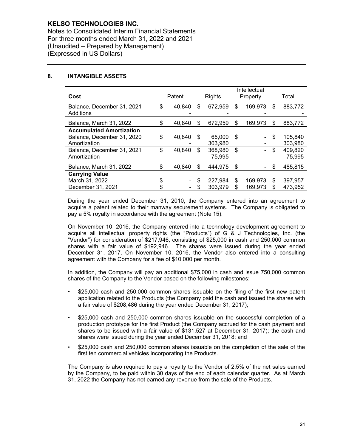Notes to Consolidated Interim Financial Statements For three months ended March 31, 2022 and 2021 (Unaudited – Prepared by Management) (Expressed in US Dollars)

## **8. INTANGIBLE ASSETS**

|                                         | Intellectual |        |     |         |    |          |    |         |
|-----------------------------------------|--------------|--------|-----|---------|----|----------|----|---------|
| Cost                                    |              | Patent |     | Rights  |    | Property |    | Total   |
| Balance, December 31, 2021<br>Additions | \$           | 40,840 | \$. | 672,959 | \$ | 169,973  | S  | 883,772 |
| Balance, March 31, 2022                 | \$           | 40,840 | S   | 672,959 | \$ | 169,973  | S  | 883,772 |
| <b>Accumulated Amortization</b>         |              |        |     |         |    |          |    |         |
| Balance, December 31, 2020              | \$           | 40,840 | S   | 65,000  | \$ |          | \$ | 105,840 |
| Amortization                            |              |        |     | 303.980 |    |          |    | 303,980 |
| Balance, December 31, 2021              | \$           | 40,840 | \$  | 368,980 | \$ |          | \$ | 409,820 |
| Amortization                            |              |        |     | 75,995  |    |          |    | 75,995  |
| Balance, March 31, 2022                 | \$           | 40,840 | S   | 444.975 | \$ |          | \$ | 485,815 |
| <b>Carrying Value</b>                   |              |        |     |         |    |          |    |         |
| March 31, 2022                          | \$           |        | \$  | 227.984 | \$ | 169,973  | \$ | 397,957 |
| December 31, 2021                       |              |        |     | 303,979 |    | 169.973  | \$ | 473,952 |

During the year ended December 31, 2010, the Company entered into an agreement to acquire a patent related to their manway securement systems. The Company is obligated to pay a 5% royalty in accordance with the agreement (Note 15).

On November 10, 2016, the Company entered into a technology development agreement to acquire all intellectual property rights (the "Products") of G & J Technologies, Inc. (the "Vendor") for consideration of \$217,946, consisting of \$25,000 in cash and 250,000 common shares with a fair value of \$192,946. The shares were issued during the year ended December 31, 2017. On November 10, 2016, the Vendor also entered into a consulting agreement with the Company for a fee of \$10,000 per month.

In addition, the Company will pay an additional \$75,000 in cash and issue 750,000 common shares of the Company to the Vendor based on the following milestones:

- \$25,000 cash and 250,000 common shares issuable on the filing of the first new patent application related to the Products (the Company paid the cash and issued the shares with a fair value of \$208,486 during the year ended December 31, 2017);
- \$25,000 cash and 250,000 common shares issuable on the successful completion of a production prototype for the first Product (the Company accrued for the cash payment and shares to be issued with a fair value of \$131,527 at December 31, 2017); the cash and shares were issued during the year ended December 31, 2018; and
- \$25,000 cash and 250,000 common shares issuable on the completion of the sale of the first ten commercial vehicles incorporating the Products.

The Company is also required to pay a royalty to the Vendor of 2.5% of the net sales earned by the Company, to be paid within 30 days of the end of each calendar quarter. As at March 31, 2022 the Company has not earned any revenue from the sale of the Products.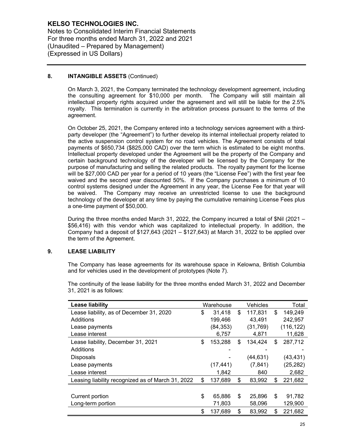Notes to Consolidated Interim Financial Statements For three months ended March 31, 2022 and 2021 (Unaudited – Prepared by Management) (Expressed in US Dollars)

## **8. INTANGIBLE ASSETS** (Continued)

On March 3, 2021, the Company terminated the technology development agreement, including the consulting agreement for \$10,000 per month. The Company will still maintain all intellectual property rights acquired under the agreement and will still be liable for the 2.5% royalty. This termination is currently in the arbitration process pursuant to the terms of the agreement.

On October 25, 2021, the Company entered into a technology services agreement with a thirdparty developer (the "Agreement") to further develop its internal intellectual property related to the active suspension control system for no road vehicles. The Agreement consists of total payments of \$650,734 (\$825,000 CAD) over the term which is estimated to be eight months. Intellectual property developed under the Agreement will be the property of the Company and certain background technology of the developer will be licensed by the Company for the purpose of manufacturing and selling the related products. The royalty payment for the license will be \$27,000 CAD per year for a period of 10 years (the "License Fee") with the first year fee waived and the second year discounted 50%. If the Company purchases a minimum of 10 control systems designed under the Agreement in any year, the License Fee for that year will be waived. The Company may receive an unrestricted license to use the background technology of the developer at any time by paying the cumulative remaining License Fees plus a one-time payment of \$50,000.

During the three months ended March 31, 2022, the Company incurred a total of \$Nil (2021 – \$56,416) with this vendor which was capitalized to intellectual property. In addition, the Company had a deposit of  $$127,643$  (2021 –  $$127,643$ ) at March 31, 2022 to be applied over the term of the Agreement.

## **9. LEASE LIABILITY**

The Company has lease agreements for its warehouse space in Kelowna, British Columbia and for vehicles used in the development of prototypes (Note 7).

The continuity of the lease liability for the three months ended March 31, 2022 and December 31, 2021 is as follows:

| Lease liability                                   | Warehouse     | Vehicles      |     | Total      |
|---------------------------------------------------|---------------|---------------|-----|------------|
| Lease liability, as of December 31, 2020          | \$<br>31,418  | \$<br>117,831 | \$  | 149,249    |
| Additions                                         | 199,466       | 43,491        |     | 242,957    |
| Lease payments                                    | (84, 353)     | (31, 769)     |     | (116, 122) |
| Lease interest                                    | 6,757         | 4,871         |     | 11,628     |
| Lease liability, December 31, 2021                | \$<br>153,288 | \$<br>134,424 | S   | 287,712    |
| Additions                                         | ٠             |               |     |            |
| <b>Disposals</b>                                  |               | (44,631)      |     | (43, 431)  |
| Lease payments                                    | (17, 441)     | (7, 841)      |     | (25, 282)  |
| Lease interest                                    | 1,842         | 840           |     | 2,682      |
| Leasing liability recognized as of March 31, 2022 | \$<br>137,689 | \$<br>83,992  | \$  | 221,682    |
|                                                   |               |               |     |            |
| Current portion                                   | \$<br>65,886  | \$<br>25.896  | \$  | 91,782     |
| Long-term portion                                 | 71,803        | 58,096        |     | 129,900    |
|                                                   | \$<br>137,689 | \$<br>83,992  | \$. | 221,682    |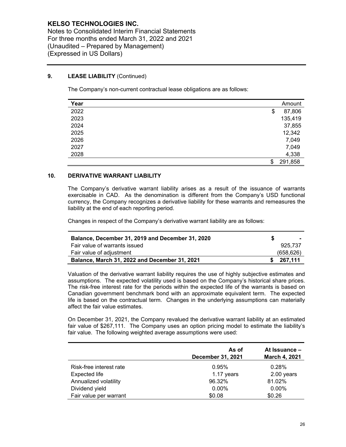Notes to Consolidated Interim Financial Statements For three months ended March 31, 2022 and 2021 (Unaudited – Prepared by Management) (Expressed in US Dollars)

## **9. LEASE LIABILITY** (Continued)

The Company's non-current contractual lease obligations are as follows:

| Year | Amount        |
|------|---------------|
| 2022 | \$<br>87,806  |
| 2023 | 135,419       |
| 2024 | 37,855        |
| 2025 | 12,342        |
| 2026 | 7,049         |
| 2027 | 7,049         |
| 2028 | 4,338         |
|      | \$<br>291,858 |

## **10. DERIVATIVE WARRANT LIABILITY**

The Company's derivative warrant liability arises as a result of the issuance of warrants exercisable in CAD. As the denomination is different from the Company's USD functional currency, the Company recognizes a derivative liability for these warrants and remeasures the liability at the end of each reporting period.

Changes in respect of the Company's derivative warrant liability are as follows:

| Balance, December 31, 2019 and December 31, 2020 | . .       |
|--------------------------------------------------|-----------|
| Fair value of warrants issued                    | 925.737   |
| Fair value of adiustment                         | (658.626) |
| Balance, March 31, 2022 and December 31, 2021    | 267,111   |

Valuation of the derivative warrant liability requires the use of highly subjective estimates and assumptions. The expected volatility used is based on the Company's historical share prices. The risk-free interest rate for the periods within the expected life of the warrants is based on Canadian government benchmark bond with an approximate equivalent term. The expected life is based on the contractual term. Changes in the underlying assumptions can materially affect the fair value estimates.

On December 31, 2021, the Company revalued the derivative warrant liability at an estimated fair value of \$267,111. The Company uses an option pricing model to estimate the liability's fair value. The following weighted average assumptions were used:

|                         | As of<br>December 31, 2021 | At Issuance -<br>March 4, 2021 |
|-------------------------|----------------------------|--------------------------------|
| Risk-free interest rate | 0.95%                      | 0.28%                          |
| <b>Expected life</b>    | 1.17 years                 | 2.00 years                     |
| Annualized volatility   | 96.32%                     | 81.02%                         |
| Dividend yield          | $0.00\%$                   | $0.00\%$                       |
| Fair value per warrant  | \$0.08                     | \$0.26                         |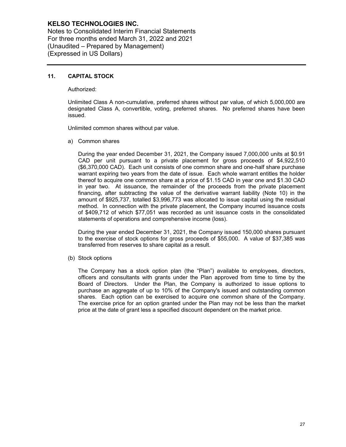Notes to Consolidated Interim Financial Statements For three months ended March 31, 2022 and 2021 (Unaudited – Prepared by Management) (Expressed in US Dollars)

## **11. CAPITAL STOCK**

Authorized:

Unlimited Class A non-cumulative, preferred shares without par value, of which 5,000,000 are designated Class A, convertible, voting, preferred shares. No preferred shares have been issued.

Unlimited common shares without par value.

a) Common shares

During the year ended December 31, 2021, the Company issued 7,000,000 units at \$0.91 CAD per unit pursuant to a private placement for gross proceeds of \$4,922,510 (\$6,370,000 CAD). Each unit consists of one common share and one-half share purchase warrant expiring two years from the date of issue. Each whole warrant entitles the holder thereof to acquire one common share at a price of \$1.15 CAD in year one and \$1.30 CAD in year two. At issuance, the remainder of the proceeds from the private placement financing, after subtracting the value of the derivative warrant liability (Note 10) in the amount of \$925,737, totalled \$3,996,773 was allocated to issue capital using the residual method. In connection with the private placement, the Company incurred issuance costs of \$409,712 of which \$77,051 was recorded as unit issuance costs in the consolidated statements of operations and comprehensive income (loss).

During the year ended December 31, 2021, the Company issued 150,000 shares pursuant to the exercise of stock options for gross proceeds of \$55,000. A value of \$37,385 was transferred from reserves to share capital as a result.

(b) Stock options

The Company has a stock option plan (the "Plan") available to employees, directors, officers and consultants with grants under the Plan approved from time to time by the Board of Directors. Under the Plan, the Company is authorized to issue options to purchase an aggregate of up to 10% of the Company's issued and outstanding common shares. Each option can be exercised to acquire one common share of the Company. The exercise price for an option granted under the Plan may not be less than the market price at the date of grant less a specified discount dependent on the market price.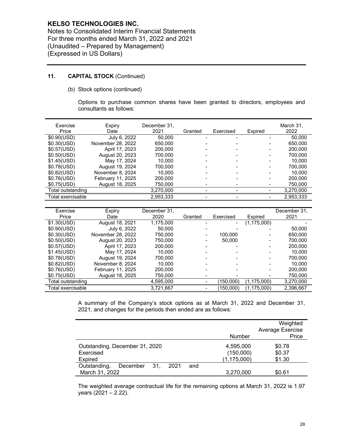Notes to Consolidated Interim Financial Statements For three months ended March 31, 2022 and 2021 (Unaudited – Prepared by Management) (Expressed in US Dollars)

# **11. CAPITAL STOCK** (Continued)

(b) Stock options (continued)

Options to purchase common shares have been granted to directors, employees and consultants as follows:

| Exercise<br>Price | Expiry<br>Date    | December 31.<br>2021 | Granted | Exercised | Expired | March 31.<br>2022 |
|-------------------|-------------------|----------------------|---------|-----------|---------|-------------------|
| \$0.90(USD)       | July 6, 2022      | 50.000               |         |           |         | 50.000            |
| \$0.30(USD)       | November 28, 2022 | 650,000              |         |           |         | 650,000           |
| \$0.57(USD)       | April 17, 2023    | 200,000              |         |           |         | 200.000           |
| \$0.50(USD)       | August 20, 2023   | 700.000              |         |           |         | 700.000           |
| \$1.45(USD)       | May 17, 2024      | 10.000               |         |           |         | 10.000            |
| \$0.78(USD)       | August 19, 2024   | 700,000              |         |           |         | 700.000           |
| \$0.82(USD)       | November 8, 2024  | 10.000               |         |           |         | 10.000            |
| \$0.76(USD)       | February 11, 2025 | 200,000              |         |           |         | 200,000           |
| \$0.75(USD)       | August 18, 2025   | 750,000              |         |           |         | 750,000           |
| Total outstanding |                   | 3,270,000            |         |           |         | 3,270,000         |
| Total exercisable |                   | 2,953,333            |         |           |         | 2,953,333         |

| Exercise          | Expiry            | December 31. |                          |                |               | December 31. |
|-------------------|-------------------|--------------|--------------------------|----------------|---------------|--------------|
| Price             | Date              | 2020         | Granted                  | Exercised      | Expired       | 2021         |
| \$1.30(USD)       | August 18, 2021   | 1,175,000    |                          | $\blacksquare$ | (1, 175, 000) |              |
| \$0.90(USD)       | July 6, 2022      | 50.000       |                          |                |               | 50.000       |
| \$0.30(USD)       | November 28, 2022 | 750,000      | -                        | 100.000        |               | 650,000      |
| \$0.50(USD)       | August 20, 2023   | 750,000      | $\overline{\phantom{0}}$ | 50.000         |               | 700.000      |
| \$0.57(USD)       | April 17, 2023    | 200,000      |                          |                |               | 200.000      |
| \$1.45(USD)       | May 17, 2024      | 10.000       |                          |                |               | 10.000       |
| \$0.78(USD)       | August 19, 2024   | 700.000      |                          |                |               | 700.000      |
| \$0.82(USD)       | November 8, 2024  | 10.000       |                          |                |               | 10.000       |
| \$0.76(USD)       | February 11, 2025 | 200,000      |                          |                |               | 200,000      |
| \$0.75(USD)       | August 18, 2025   | 750,000      |                          |                |               | 750,000      |
| Total outstanding |                   | 4,595,000    |                          | (150,000)      | (1, 175, 000) | 3,270,000    |
| Total exercisable |                   | 3,721,667    |                          | (150,000)      | (1, 175, 000) | 2,396,667    |

A summary of the Company's stock options as at March 31, 2022 and December 31, 2021, and changes for the periods then ended are as follows:

|                                                |               | Weighted         |
|------------------------------------------------|---------------|------------------|
|                                                |               | Average Exercise |
|                                                | Number        | Price            |
| Outstanding, December 31, 2020                 | 4,595,000     | \$0.78           |
| Exercised                                      | (150,000)     | \$0.37           |
| Expired                                        | (1, 175, 000) | \$1.30           |
| Outstanding,<br>2021<br>31.<br>December<br>and |               |                  |
| March 31, 2022                                 | 3,270,000     | \$0.61           |

The weighted average contractual life for the remaining options at March 31, 2022 is 1.97 years (2021 – 2.22).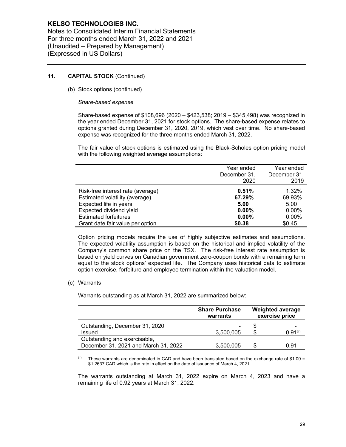Notes to Consolidated Interim Financial Statements For three months ended March 31, 2022 and 2021 (Unaudited – Prepared by Management) (Expressed in US Dollars)

## **11. CAPITAL STOCK** (Continued)

(b) Stock options (continued)

### *Share-based expense*

Share-based expense of \$108,696 (2020 – \$423,538; 2019 – \$345,498) was recognized in the year ended December 31, 2021 for stock options. The share-based expense relates to options granted during December 31, 2020, 2019, which vest over time. No share-based expense was recognized for the three months ended March 31, 2022.

The fair value of stock options is estimated using the Black-Scholes option pricing model with the following weighted average assumptions:

|                                   | Year ended<br>December 31,<br>2020 | Year ended<br>December 31,<br>2019 |
|-----------------------------------|------------------------------------|------------------------------------|
| Risk-free interest rate (average) | 0.51%                              | 1.32%                              |
| Estimated volatility (average)    | 67.29%                             | 69.93%                             |
| Expected life in years            | 5.00                               | 5.00                               |
| Expected dividend yield           | $0.00\%$                           | $0.00\%$                           |
| <b>Estimated forfeitures</b>      | $0.00\%$                           | 0.00%                              |
| Grant date fair value per option  | \$0.38                             | \$0.45                             |

Option pricing models require the use of highly subjective estimates and assumptions. The expected volatility assumption is based on the historical and implied volatility of the Company's common share price on the TSX. The risk-free interest rate assumption is based on yield curves on Canadian government zero-coupon bonds with a remaining term equal to the stock options' expected life. The Company uses historical data to estimate option exercise, forfeiture and employee termination within the valuation model.

### (c) Warrants

Warrants outstanding as at March 31, 2022 are summarized below:

|                                      | <b>Share Purchase</b><br>warrants | <b>Weighted average</b><br>exercise price |
|--------------------------------------|-----------------------------------|-------------------------------------------|
| Outstanding, December 31, 2020       |                                   |                                           |
| Issued                               | 3,500,005                         | 0.91(1)                                   |
| Outstanding and exercisable,         |                                   |                                           |
| December 31, 2021 and March 31, 2022 | 3,500,005                         | 0.91                                      |

 $(1)$  These warrants are denominated in CAD and have been translated based on the exchange rate of \$1.00 = \$1.2637 CAD which is the rate in effect on the date of issuance of March 4, 2021.

The warrants outstanding at March 31, 2022 expire on March 4, 2023 and have a remaining life of 0.92 years at March 31, 2022.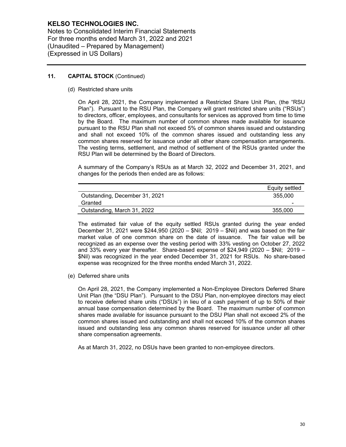Notes to Consolidated Interim Financial Statements For three months ended March 31, 2022 and 2021 (Unaudited – Prepared by Management) (Expressed in US Dollars)

## **11. CAPITAL STOCK** (Continued)

(d) Restricted share units

On April 28, 2021, the Company implemented a Restricted Share Unit Plan, (the "RSU Plan"). Pursuant to the RSU Plan, the Company will grant restricted share units ("RSUs") to directors, officer, employees, and consultants for services as approved from time to time by the Board. The maximum number of common shares made available for issuance pursuant to the RSU Plan shall not exceed 5% of common shares issued and outstanding and shall not exceed 10% of the common shares issued and outstanding less any common shares reserved for issuance under all other share compensation arrangements. The vesting terms, settlement, and method of settlement of the RSUs granted under the RSU Plan will be determined by the Board of Directors.

A summary of the Company's RSUs as at March 32, 2022 and December 31, 2021, and changes for the periods then ended are as follows:

|                                | Equity settled           |
|--------------------------------|--------------------------|
| Outstanding, December 31, 2021 | 355,000                  |
| Granted                        | $\overline{\phantom{a}}$ |
| Outstanding, March 31, 2022    | 355.000                  |

The estimated fair value of the equity settled RSUs granted during the year ended December 31, 2021 were \$244,950 (2020 – \$Nil; 2019 – \$Nil) and was based on the fair market value of one common share on the date of issuance. The fair value will be recognized as an expense over the vesting period with 33% vesting on October 27, 2022 and 33% every year thereafter. Share-based expense of \$24,949 (2020 – \$Nil; 2019 – \$Nil) was recognized in the year ended December 31, 2021 for RSUs. No share-based expense was recognized for the three months ended March 31, 2022.

(e) Deferred share units

On April 28, 2021, the Company implemented a Non-Employee Directors Deferred Share Unit Plan (the "DSU Plan"). Pursuant to the DSU Plan, non-employee directors may elect to receive deferred share units ("DSUs") in lieu of a cash payment of up to 50% of their annual base compensation determined by the Board. The maximum number of common shares made available for issuance pursuant to the DSU Plan shall not exceed 2% of the common shares issued and outstanding and shall not exceed 10% of the common shares issued and outstanding less any common shares reserved for issuance under all other share compensation agreements.

As at March 31, 2022, no DSUs have been granted to non-employee directors.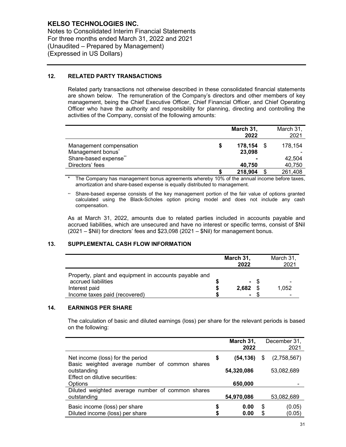Notes to Consolidated Interim Financial Statements For three months ended March 31, 2022 and 2021 (Unaudited – Prepared by Management) (Expressed in US Dollars)

## **12. RELATED PARTY TRANSACTIONS**

Related party transactions not otherwise described in these consolidated financial statements are shown below. The remuneration of the Company's directors and other members of key management, being the Chief Executive Officer, Chief Financial Officer, and Chief Operating Officer who have the authority and responsibility for planning, directing and controlling the activities of the Company, consist of the following amounts:

|                               |   | March 31,<br>2022 | March 31,<br>2021 |
|-------------------------------|---|-------------------|-------------------|
| Management compensation       | S | 178,154           | 178,154           |
| Management bonus <sup>*</sup> |   | 23,098            |                   |
| Share-based expense**         |   |                   | 42,504            |
| Directors' fees               |   | 40,750            | 40,750            |
|                               |   | 218,904           | 261,408           |

The Company has management bonus agreements whereby 10% of the annual income before taxes, amortization and share-based expense is equally distributed to management.

\*\* Share-based expense consists of the key management portion of the fair value of options granted calculated using the Black-Scholes option pricing model and does not include any cash compensation.

As at March 31, 2022, amounts due to related parties included in accounts payable and accrued liabilities, which are unsecured and have no interest or specific terms, consist of \$Nil (2021 – \$Nil) for directors' fees and \$23,098 (2021 – \$Nil) for management bonus.

## **13. SUPPLEMENTAL CASH FLOW INFORMATION**

|                                                                                                                                | March 31,<br>2022 |      | March 31,<br>2021 |
|--------------------------------------------------------------------------------------------------------------------------------|-------------------|------|-------------------|
| Property, plant and equipment in accounts payable and<br>accrued liabilities<br>Interest paid<br>Income taxes paid (recovered) | 2.682             | - \$ | 1,052             |

## **14. EARNINGS PER SHARE**

The calculation of basic and diluted earnings (loss) per share for the relevant periods is based on the following:

|                                                               | March 31,<br>2022 |    | December 31,<br>2021 |
|---------------------------------------------------------------|-------------------|----|----------------------|
| Net income (loss) for the period                              | \$<br>(54,136)    | \$ | (2,758,567)          |
| Basic weighted average number of common shares<br>outstanding | 54,320,086        |    | 53,082,689           |
| Effect on dilutive securities:<br><b>Options</b>              | 650,000           |    |                      |
| Diluted weighted average number of common shares              |                   |    |                      |
| outstanding                                                   | 54,970,086        |    | 53,082,689           |
| Basic income (loss) per share                                 | 0.00              | \$ | (0.05)               |
| Diluted income (loss) per share                               | 0.00              | S. | (0.05)               |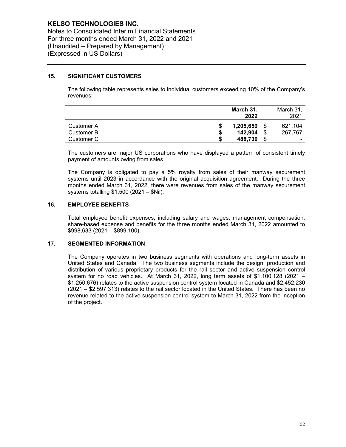Notes to Consolidated Interim Financial Statements For three months ended March 31, 2022 and 2021 (Unaudited – Prepared by Management) (Expressed in US Dollars)

## **15. SIGNIFICANT CUSTOMERS**

The following table represents sales to individual customers exceeding 10% of the Company's revenues:

|            | March 31,     |      | March 31, |
|------------|---------------|------|-----------|
|            | 2022          |      | 2021      |
| Customer A | 1,205,659     | - \$ | 621.104   |
| Customer B | \$<br>142,904 | \$   | 267.767   |
| Customer C | \$<br>488.730 | \$   | -         |

The customers are major US corporations who have displayed a pattern of consistent timely payment of amounts owing from sales.

The Company is obligated to pay a 5% royalty from sales of their manway securement systems until 2023 in accordance with the original acquisition agreement. During the three months ended March 31, 2022, there were revenues from sales of the manway securement systems totalling \$1,500 (2021 – \$Nil).

## **16. EMPLOYEE BENEFITS**

Total employee benefit expenses, including salary and wages, management compensation, share-based expense and benefits for the three months ended March 31, 2022 amounted to \$998,633 (2021 – \$899,100).

## **17. SEGMENTED INFORMATION**

The Company operates in two business segments with operations and long-term assets in United States and Canada. The two business segments include the design, production and distribution of various proprietary products for the rail sector and active suspension control system for no road vehicles. At March 31, 2022, long term assets of \$1,100,128 (2021 – \$1,250,676) relates to the active suspension control system located in Canada and \$2,452,230 (2021 – \$2,597,313) relates to the rail sector located in the United States. There has been no revenue related to the active suspension control system to March 31, 2022 from the inception of the project.